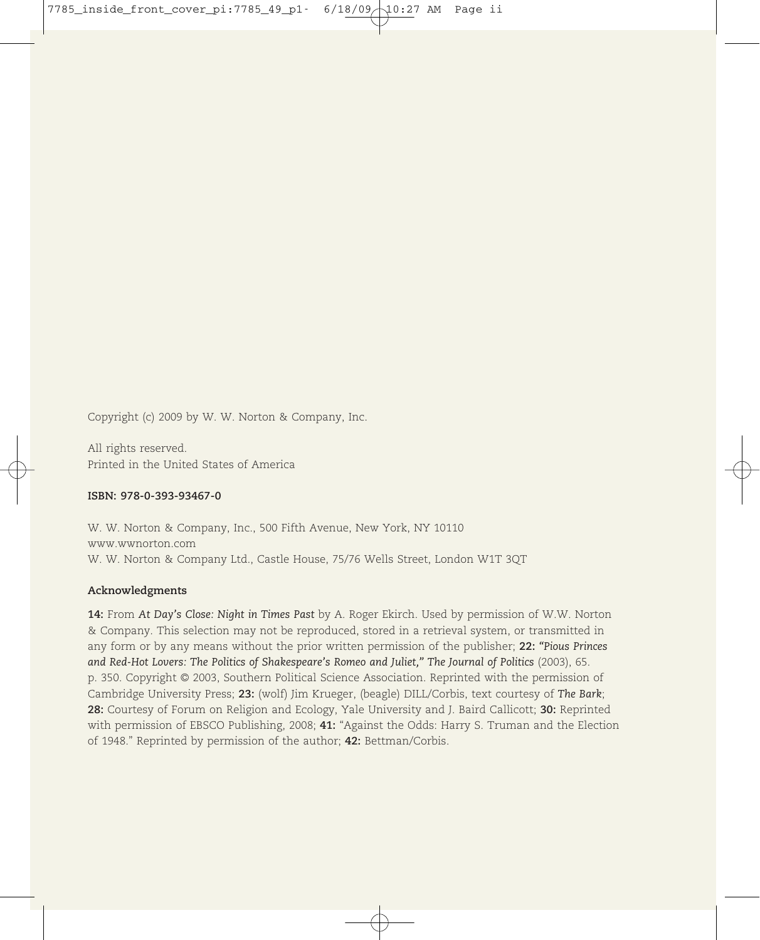Copyright (c) 2009 by W. W. Norton & Company, Inc.

All rights reserved. Printed in the United States of America

### **ISBN: 978-0-393-93467-0**

W. W. Norton & Company, Inc., 500 Fifth Avenue, New York, NY 10110 www.wwnorton.com W. W. Norton & Company Ltd., Castle House, 75/76 Wells Street, London W1T 3QT

### **Acknowledgments**

**14:** From *At Day's Close: Night in Times Past* by A. Roger Ekirch. Used by permission of W.W. Norton & Company. This selection may not be reproduced, stored in a retrieval system, or transmitted in any form or by any means without the prior written permission of the publisher; **22:** *"Pious Princes and Red-Hot Lovers: The Politics of Shakespeare's Romeo and Juliet," The Journal of Politics* (2003), 65. p. 350. Copyright © 2003, Southern Political Science Association. Reprinted with the permission of Cambridge University Press; **23:** (wolf) Jim Krueger, (beagle) DILL/Corbis, text courtesy of *The Bark*; **28:** Courtesy of Forum on Religion and Ecology, Yale University and J. Baird Callicott; **30:** Reprinted with permission of EBSCO Publishing, 2008; **41:** "Against the Odds: Harry S. Truman and the Election of 1948." Reprinted by permission of the author; **42:** Bettman/Corbis.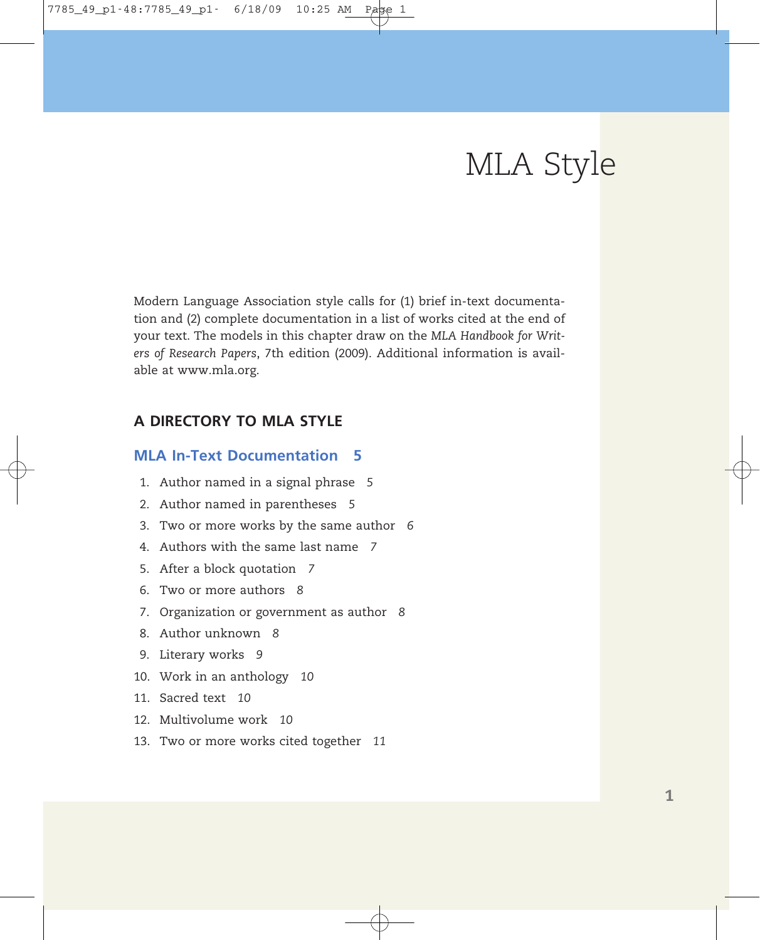# MLA Style

Modern Language Association style calls for (1) brief in-text documentation and (2) complete documentation in a list of works cited at the end of your text. The models in this chapter draw on the *MLA Handbook for Writers of Research Papers*, 7th edition (2009). Additional information is available at www.mla.org.

### **A DIRECTORY TO MLA STYLE**

### **MLA In-Text Documentation 5**

- 1. Author named in a signal phrase *5*
- 2. Author named in parentheses *5*
- 3. Two or more works by the same author *6*
- 4. Authors with the same last name *7*
- 5. After a block quotation *7*
- 6. Two or more authors *8*
- 7. Organization or government as author *8*
- 8. Author unknown *8*
- 9. Literary works *9*
- 10. Work in an anthology *10*
- 11. Sacred text *10*
- 12. Multivolume work *10*
- 13. Two or more works cited together *11*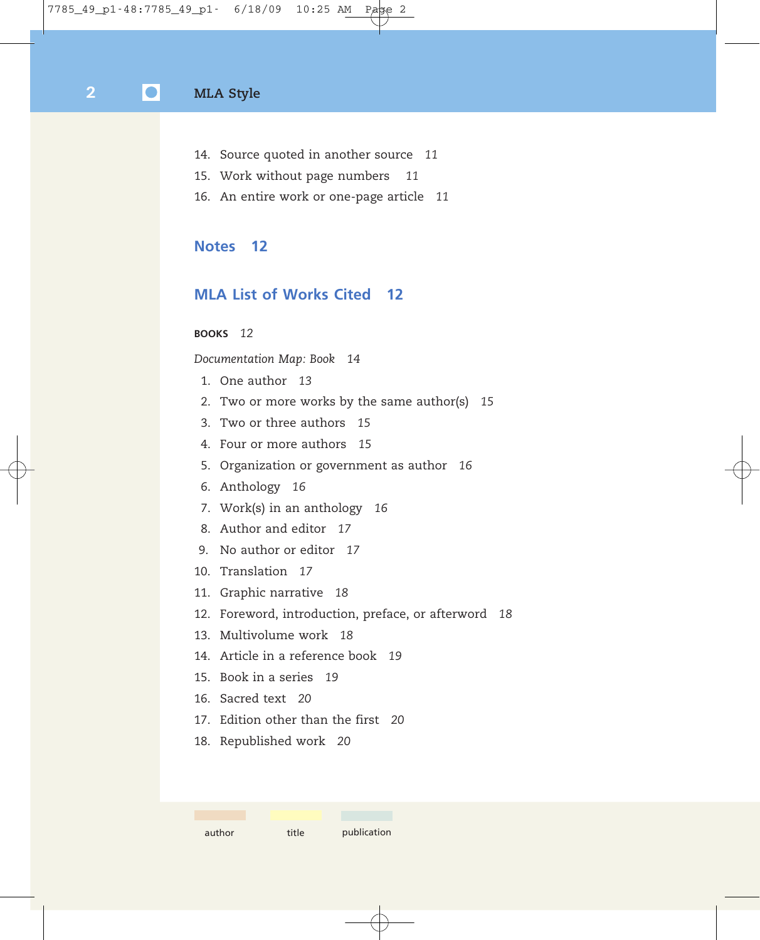- 14. Source quoted in another source *11*
- 15. Work without page numbers *11*
- 16. An entire work or one-page article *11*

### **Notes 12**

### **MLA List of Works Cited 12**

### **BOOKS** *12*

*Documentation Map: Book 14*

- 1. One author *13*
- 2. Two or more works by the same author(s) *15*
- 3. Two or three authors *15*
- 4. Four or more authors *15*
- 5. Organization or government as author *16*
- 6. Anthology *16*
- 7. Work(s) in an anthology *16*
- 8. Author and editor *17*
- 9. No author or editor *17*
- 10. Translation *17*
- 11. Graphic narrative *18*
- 12. Foreword, introduction, preface, or afterword *18*
- 13. Multivolume work *18*
- 14. Article in a reference book *19*
- 15. Book in a series *19*
- 16. Sacred text *20*
- 17. Edition other than the first *20*
- 18. Republished work *20*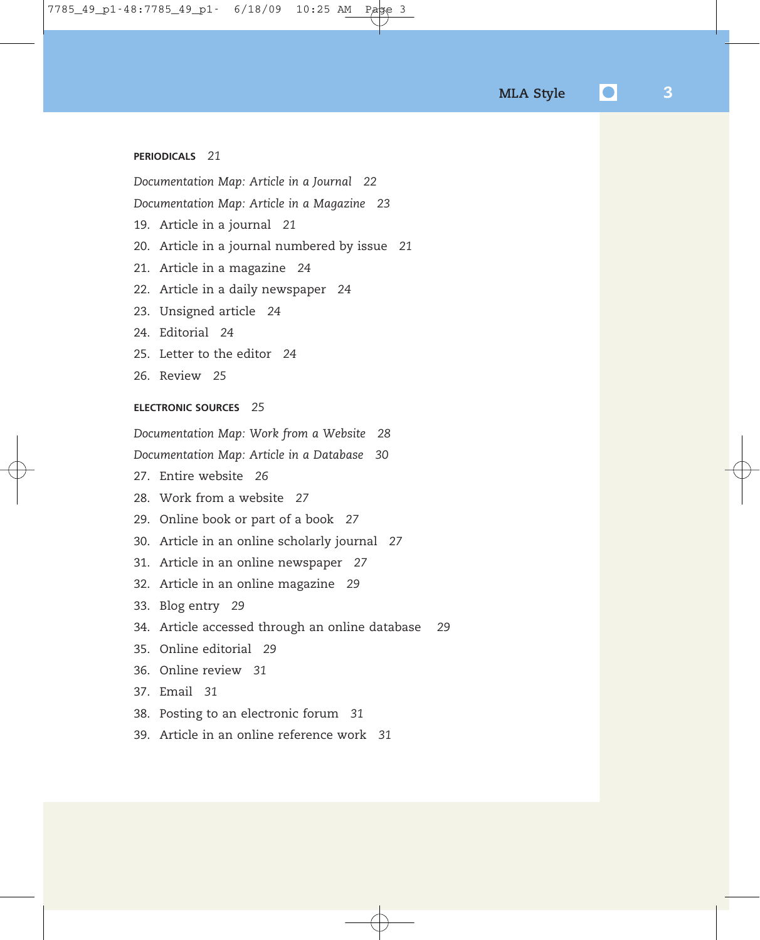### **PERIODICALS** *21*

*Documentation Map: Article in a Journal 22*

*Documentation Map: Article in a Magazine 23*

- 19. Article in a journal *21*
- 20. Article in a journal numbered by issue *21*
- 21. Article in a magazine *24*
- 22. Article in a daily newspaper *24*
- 23. Unsigned article *24*
- 24. Editorial *24*
- 25. Letter to the editor *24*
- 26. Review *25*

### **ELECTRONIC SOURCES** *25*

*Documentation Map: Work from a Website 28*

*Documentation Map: Article in a Database 30*

- 27. Entire website *26*
- 28. Work from a website *27*
- 29. Online book or part of a book *27*
- 30. Article in an online scholarly journal *27*
- 31. Article in an online newspaper *27*
- 32. Article in an online magazine *29*

33. Blog entry *29*

- 34. Article accessed through an online database *29*
- 35. Online editorial *29*
- 36. Online review *31*
- 37. Email *31*
- 38. Posting to an electronic forum *31*
- 39. Article in an online reference work *31*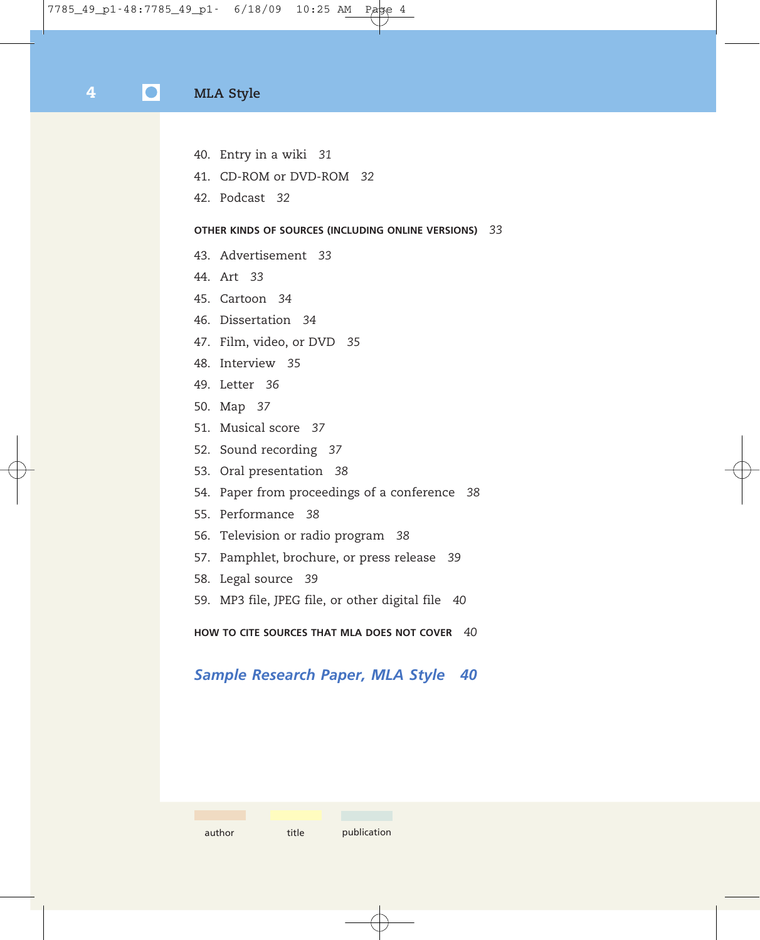- 40. Entry in a wiki *31*
- 41. CD-ROM or DVD-ROM *32*
- 42. Podcast *32*

### **OTHER KINDS OF SOURCES (INCLUDING ONLINE VERSIONS)** *33*

- 43. Advertisement *33*
- 44. Art *33*
- 45. Cartoon *34*
- 46. Dissertation *34*
- 47. Film, video, or DVD *35*
- 48. Interview *35*
- 49. Letter *36*
- 50. Map *37*
- 51. Musical score *37*
- 52. Sound recording *37*
- 53. Oral presentation *38*
- 54. Paper from proceedings of a conference *38*
- 55. Performance *38*
- 56. Television or radio program *38*
- 57. Pamphlet, brochure, or press release *39*
- 58. Legal source *39*
- 59. MP3 file, JPEG file, or other digital file *40*

**HOW TO CITE SOURCES THAT MLA DOES NOT COVER** *40*

### *Sample Research Paper, MLA Style 40*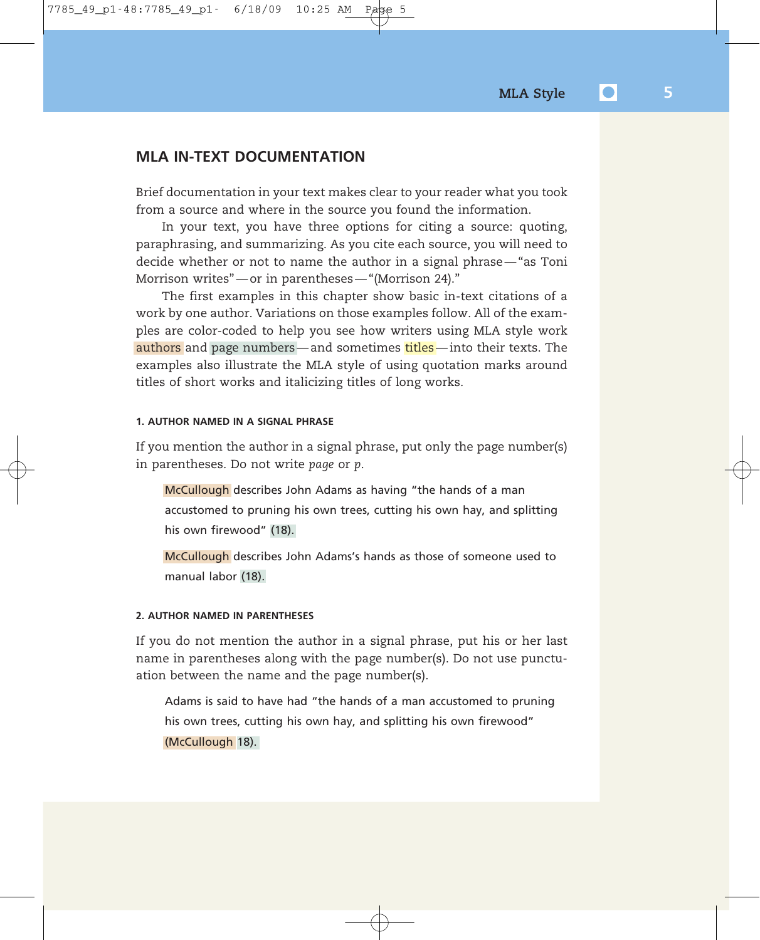### **MLA IN-TEXT DOCUMENTATION**

Brief documentation in your text makes clear to your reader what you took from a source and where in the source you found the information.

In your text, you have three options for citing a source: quoting, paraphrasing, and summarizing. As you cite each source, you will need to decide whether or not to name the author in a signal phrase — "as Toni Morrison writes" — or in parentheses — "(Morrison 24)."

The first examples in this chapter show basic in-text citations of a work by one author. Variations on those examples follow. All of the examples are color-coded to help you see how writers using MLA style work authors and page numbers — and sometimes titles — into their texts. The examples also illustrate the MLA style of using quotation marks around titles of short works and italicizing titles of long works.

#### **1. AUTHOR NAMED IN A SIGNAL PHRASE**

If you mention the author in a signal phrase, put only the page number(s) in parentheses. Do not write *page* or *p*.

McCullough describes John Adams as having "the hands of a man accustomed to pruning his own trees, cutting his own hay, and splitting his own firewood" (18).

McCullough describes John Adams's hands as those of someone used to manual labor (18).

### **2. AUTHOR NAMED IN PARENTHESES**

If you do not mention the author in a signal phrase, put his or her last name in parentheses along with the page number(s). Do not use punctuation between the name and the page number(s).

Adams is said to have had "the hands of a man accustomed to pruning his own trees, cutting his own hay, and splitting his own firewood" (McCullough 18).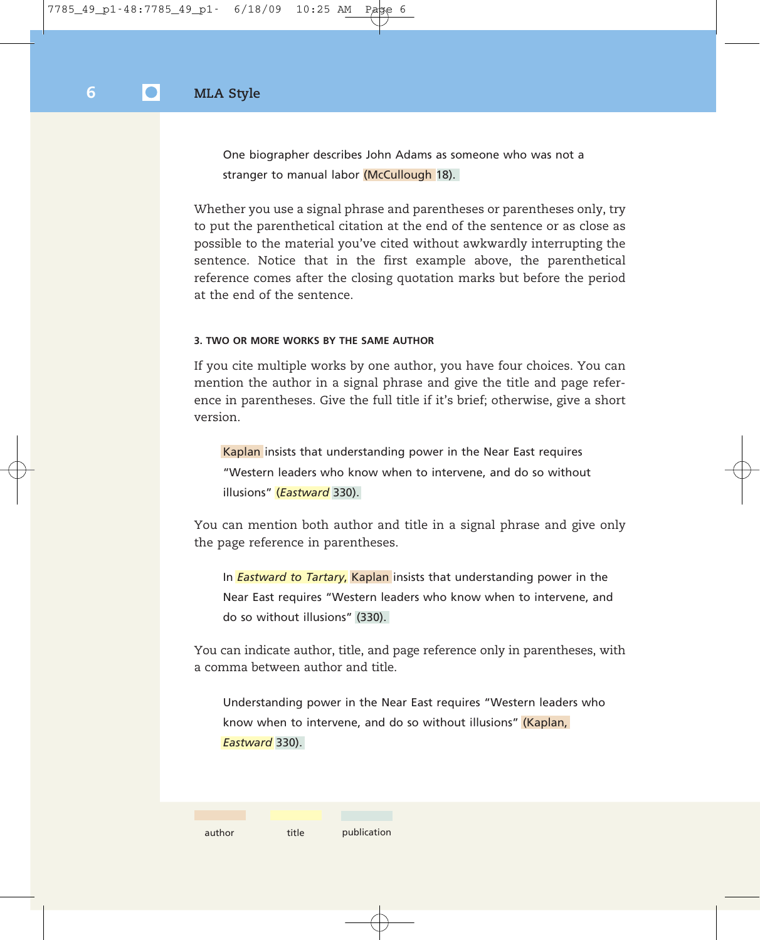One biographer describes John Adams as someone who was not a stranger to manual labor (McCullough 18).

Whether you use a signal phrase and parentheses or parentheses only, try to put the parenthetical citation at the end of the sentence or as close as possible to the material you've cited without awkwardly interrupting the sentence. Notice that in the first example above, the parenthetical reference comes after the closing quotation marks but before the period at the end of the sentence.

### **3. TWO OR MORE WORKS BY THE SAME AUTHOR**

If you cite multiple works by one author, you have four choices. You can mention the author in a signal phrase and give the title and page reference in parentheses. Give the full title if it's brief; otherwise, give a short version.

Kaplan insists that understanding power in the Near East requires "Western leaders who know when to intervene, and do so without illusions" (*Eastward* 330).

You can mention both author and title in a signal phrase and give only the page reference in parentheses.

In *Eastward to Tartary*, Kaplan insists that understanding power in the Near East requires "Western leaders who know when to intervene, and do so without illusions" (330).

You can indicate author, title, and page reference only in parentheses, with a comma between author and title.

Understanding power in the Near East requires "Western leaders who know when to intervene, and do so without illusions" (Kaplan, *Eastward* 330).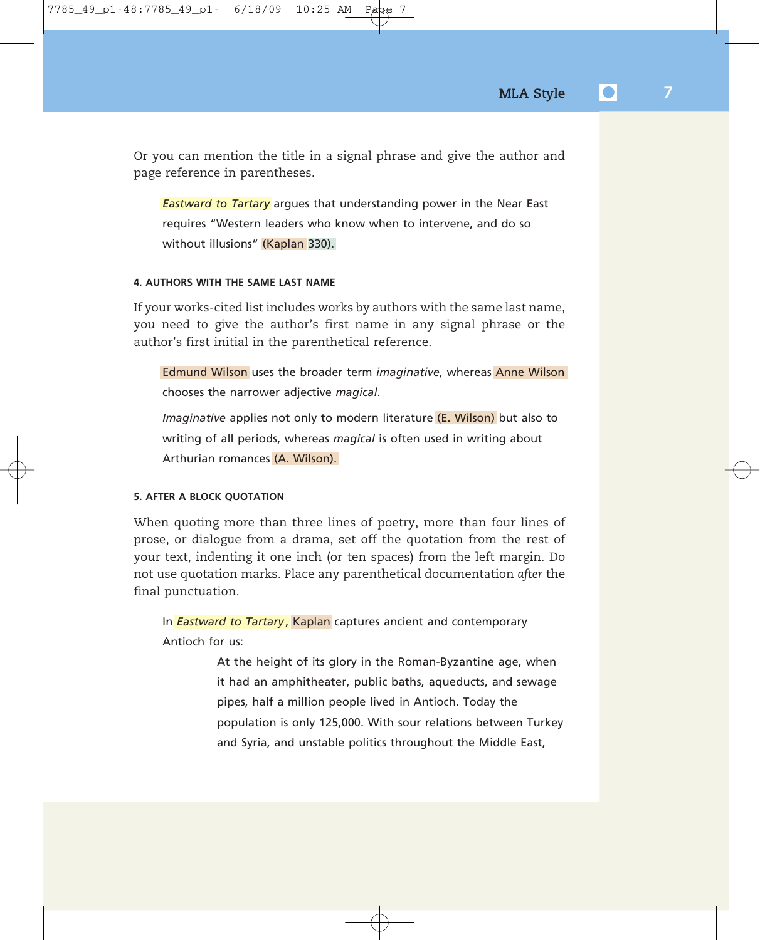Or you can mention the title in a signal phrase and give the author and page reference in parentheses.

*Eastward to Tartary* argues that understanding power in the Near East requires "Western leaders who know when to intervene, and do so without illusions" (Kaplan 330).

### **4. AUTHORS WITH THE SAME LAST NAME**

If your works-cited list includes works by authors with the same last name, you need to give the author's first name in any signal phrase or the author's first initial in the parenthetical reference.

Edmund Wilson uses the broader term *imaginative*, whereas Anne Wilson chooses the narrower adjective *magical*.

*Imaginative* applies not only to modern literature (E. Wilson) but also to writing of all periods, whereas *magical* is often used in writing about Arthurian romances (A. Wilson).

### **5. AFTER A BLOCK QUOTATION**

When quoting more than three lines of poetry, more than four lines of prose, or dialogue from a drama, set off the quotation from the rest of your text, indenting it one inch (or ten spaces) from the left margin. Do not use quotation marks. Place any parenthetical documentation *after* the final punctuation.

In **Eastward to Tartary**, Kaplan captures ancient and contemporary Antioch for us:

> At the height of its glory in the Roman-Byzantine age, when it had an amphitheater, public baths, aqueducts, and sewage pipes, half a million people lived in Antioch. Today the population is only 125,000. With sour relations between Turkey and Syria, and unstable politics throughout the Middle East,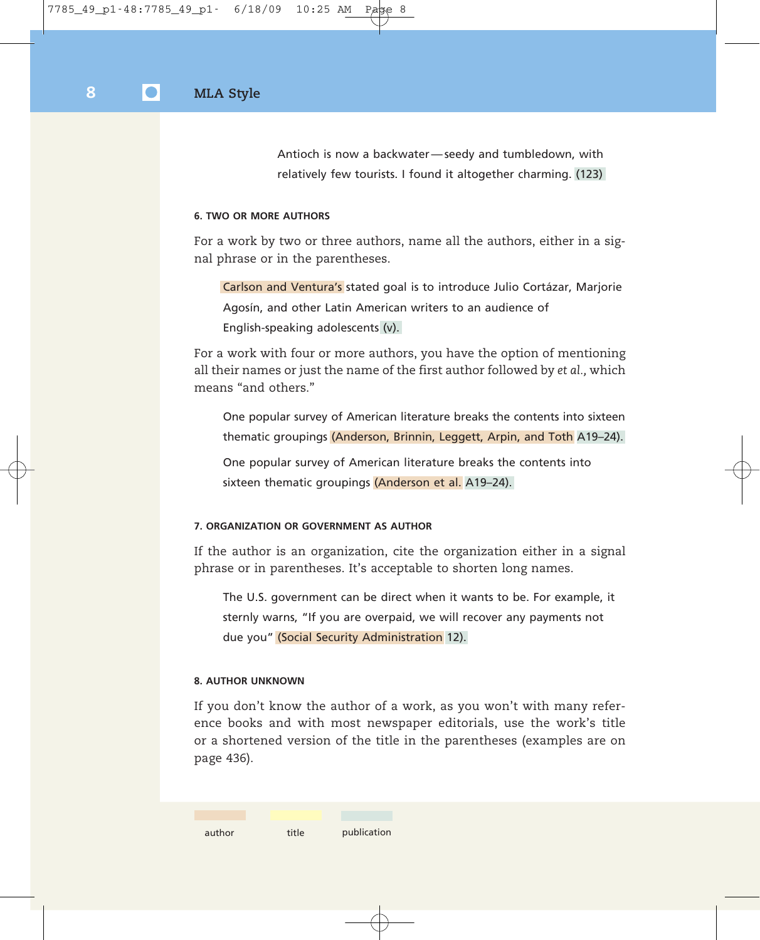Antioch is now a backwater — seedy and tumbledown, with relatively few tourists. I found it altogether charming. (123)

### **6. TWO OR MORE AUTHORS**

For a work by two or three authors, name all the authors, either in a signal phrase or in the parentheses.

Carlson and Ventura's stated goal is to introduce Julio Cortázar, Marjorie Agosín, and other Latin American writers to an audience of English-speaking adolescents (v).

For a work with four or more authors, you have the option of mentioning all their names or just the name of the first author followed by *et al.,* which means "and others."

One popular survey of American literature breaks the contents into sixteen thematic groupings (Anderson, Brinnin, Leggett, Arpin, and Toth A19–24).

One popular survey of American literature breaks the contents into sixteen thematic groupings (Anderson et al. A19–24).

### **7. ORGANIZATION OR GOVERNMENT AS AUTHOR**

If the author is an organization, cite the organization either in a signal phrase or in parentheses. It's acceptable to shorten long names.

The U.S. government can be direct when it wants to be. For example, it sternly warns, "If you are overpaid, we will recover any payments not due you" (Social Security Administration 12).

### **8. AUTHOR UNKNOWN**

If you don't know the author of a work, as you won't with many reference books and with most newspaper editorials, use the work's title or a shortened version of the title in the parentheses (examples are on page 436).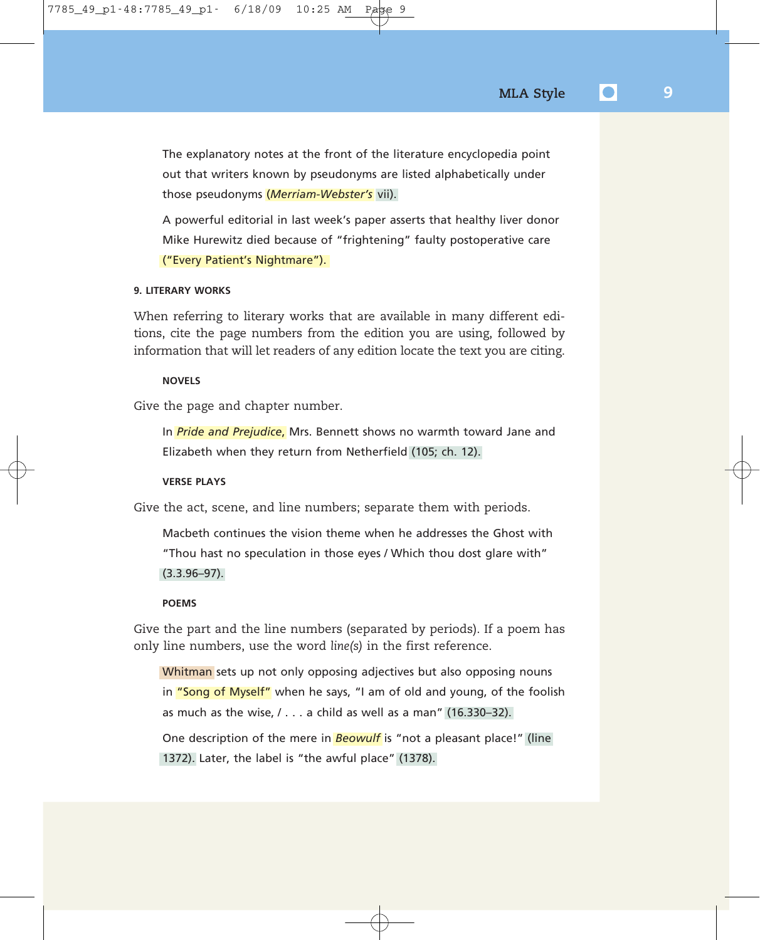The explanatory notes at the front of the literature encyclopedia point out that writers known by pseudonyms are listed alphabetically under those pseudonyms (*Merriam-Webster's* vii).

A powerful editorial in last week's paper asserts that healthy liver donor Mike Hurewitz died because of "frightening" faulty postoperative care ("Every Patient's Nightmare").

#### **9. LITERARY WORKS**

When referring to literary works that are available in many different editions, cite the page numbers from the edition you are using, followed by information that will let readers of any edition locate the text you are citing.

### **NOVELS**

Give the page and chapter number.

In *Pride and Prejudice*, Mrs. Bennett shows no warmth toward Jane and Elizabeth when they return from Netherfield (105; ch. 12).

### **VERSE PLAYS**

Give the act, scene, and line numbers; separate them with periods.

Macbeth continues the vision theme when he addresses the Ghost with "Thou hast no speculation in those eyes / Which thou dost glare with" (3.3.96–97).

#### **POEMS**

Give the part and the line numbers (separated by periods). If a poem has only line numbers, use the word *line(s)* in the first reference.

Whitman sets up not only opposing adjectives but also opposing nouns in "Song of Myself" when he says, "I am of old and young, of the foolish as much as the wise,  $/ \ldots$  a child as well as a man" (16.330-32).

One description of the mere in *Beowulf* is "not a pleasant place!" (line 1372). Later, the label is "the awful place" (1378).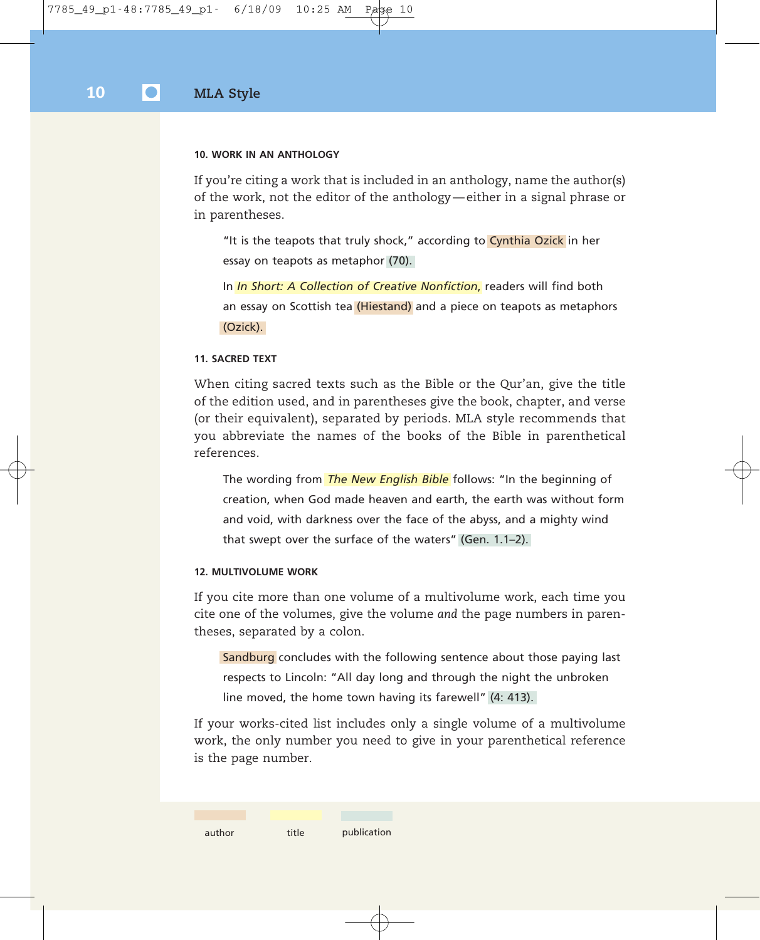#### **10. WORK IN AN ANTHOLOGY**

If you're citing a work that is included in an anthology, name the author(s) of the work, not the editor of the anthology — either in a signal phrase or in parentheses.

"It is the teapots that truly shock," according to Cynthia Ozick in her essay on teapots as metaphor (70).

In *In Short: A Collection of Creative Nonfiction*, readers will find both an essay on Scottish tea (Hiestand) and a piece on teapots as metaphors (Ozick).

#### **11. SACRED TEXT**

When citing sacred texts such as the Bible or the Qur'an, give the title of the edition used, and in parentheses give the book, chapter, and verse (or their equivalent), separated by periods. MLA style recommends that you abbreviate the names of the books of the Bible in parenthetical references.

The wording from *The New English Bible* follows: "In the beginning of creation, when God made heaven and earth, the earth was without form and void, with darkness over the face of the abyss, and a mighty wind that swept over the surface of the waters" (Gen. 1.1–2).

### **12. MULTIVOLUME WORK**

If you cite more than one volume of a multivolume work, each time you cite one of the volumes, give the volume *and* the page numbers in parentheses, separated by a colon.

Sandburg concludes with the following sentence about those paying last respects to Lincoln: "All day long and through the night the unbroken line moved, the home town having its farewell" (4: 413).

If your works-cited list includes only a single volume of a multivolume work, the only number you need to give in your parenthetical reference is the page number.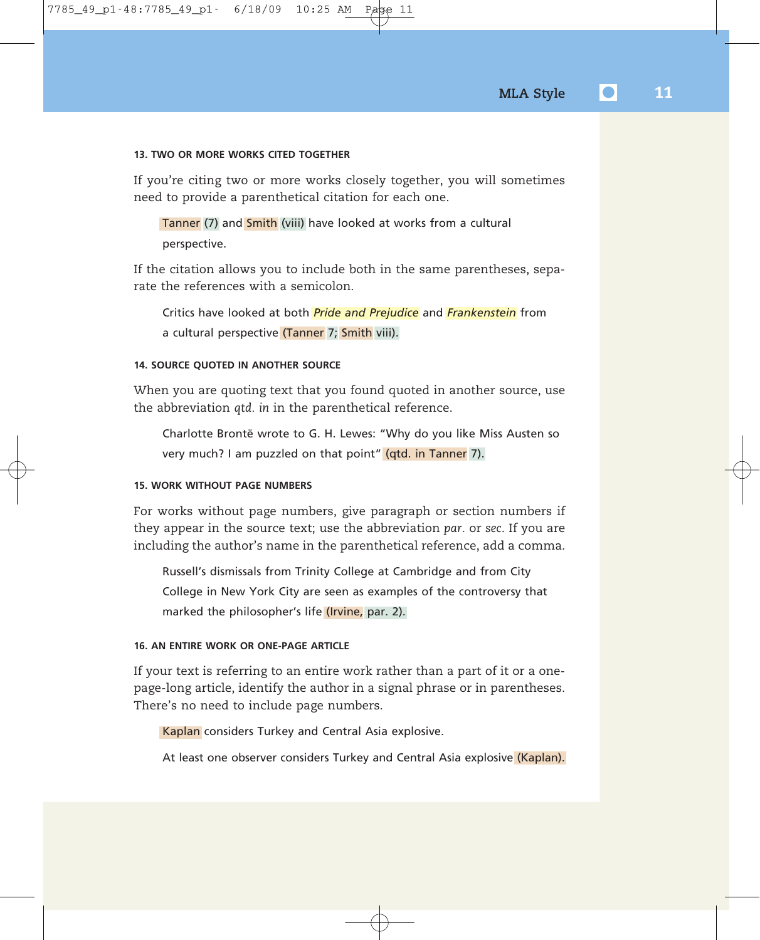### **13. TWO OR MORE WORKS CITED TOGETHER**

If you're citing two or more works closely together, you will sometimes need to provide a parenthetical citation for each one.

Tanner (7) and Smith (viii) have looked at works from a cultural perspective.

If the citation allows you to include both in the same parentheses, separate the references with a semicolon.

Critics have looked at both *Pride and Prejudice* and *Frankenstein* from a cultural perspective (Tanner 7; Smith viii).

### **14. SOURCE QUOTED IN ANOTHER SOURCE**

When you are quoting text that you found quoted in another source, use the abbreviation *qtd. in* in the parenthetical reference.

Charlotte Brontë wrote to G. H. Lewes: "Why do you like Miss Austen so very much? I am puzzled on that point" (qtd. in Tanner 7).

### **15. WORK WITHOUT PAGE NUMBERS**

For works without page numbers, give paragraph or section numbers if they appear in the source text; use the abbreviation *par.* or *sec*. If you are including the author's name in the parenthetical reference, add a comma.

Russell's dismissals from Trinity College at Cambridge and from City College in New York City are seen as examples of the controversy that marked the philosopher's life (Irvine, par. 2).

### **16. AN ENTIRE WORK OR ONE-PAGE ARTICLE**

If your text is referring to an entire work rather than a part of it or a onepage-long article, identify the author in a signal phrase or in parentheses. There's no need to include page numbers.

Kaplan considers Turkey and Central Asia explosive.

At least one observer considers Turkey and Central Asia explosive (Kaplan).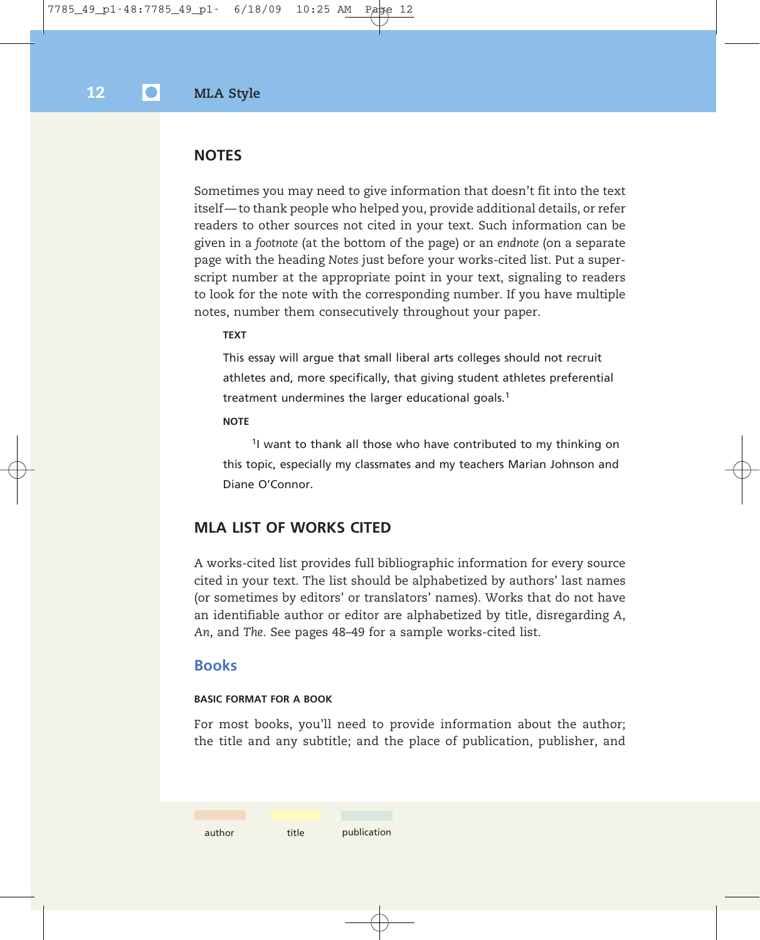### **NOTES**

Sometimes you may need to give information that doesn't fit into the text itself — to thank people who helped you, provide additional details, or refer readers to other sources not cited in your text. Such information can be given in a *footnote* (at the bottom of the page) or an *endnote* (on a separate page with the heading *Notes* just before your works-cited list. Put a superscript number at the appropriate point in your text, signaling to readers to look for the note with the corresponding number. If you have multiple notes, number them consecutively throughout your paper.

#### **TEXT**

This essay will argue that small liberal arts colleges should not recruit athletes and, more specifically, that giving student athletes preferential treatment undermines the larger educational goals.<sup>1</sup>

#### **NOTE**

<sup>1</sup>I want to thank all those who have contributed to my thinking on this topic, especially my classmates and my teachers Marian Johnson and Diane O'Connor.

### **MLA LIST OF WORKS CITED**

A works-cited list provides full bibliographic information for every source cited in your text. The list should be alphabetized by authors' last names (or sometimes by editors' or translators' names). Works that do not have an identifiable author or editor are alphabetized by title, disregarding *A*, *An*, and *The*. See pages 48–49 for a sample works-cited list.

### **Books**

### **BASIC FORMAT FOR A BOOK**

For most books, you'll need to provide information about the author; the title and any subtitle; and the place of publication, publisher, and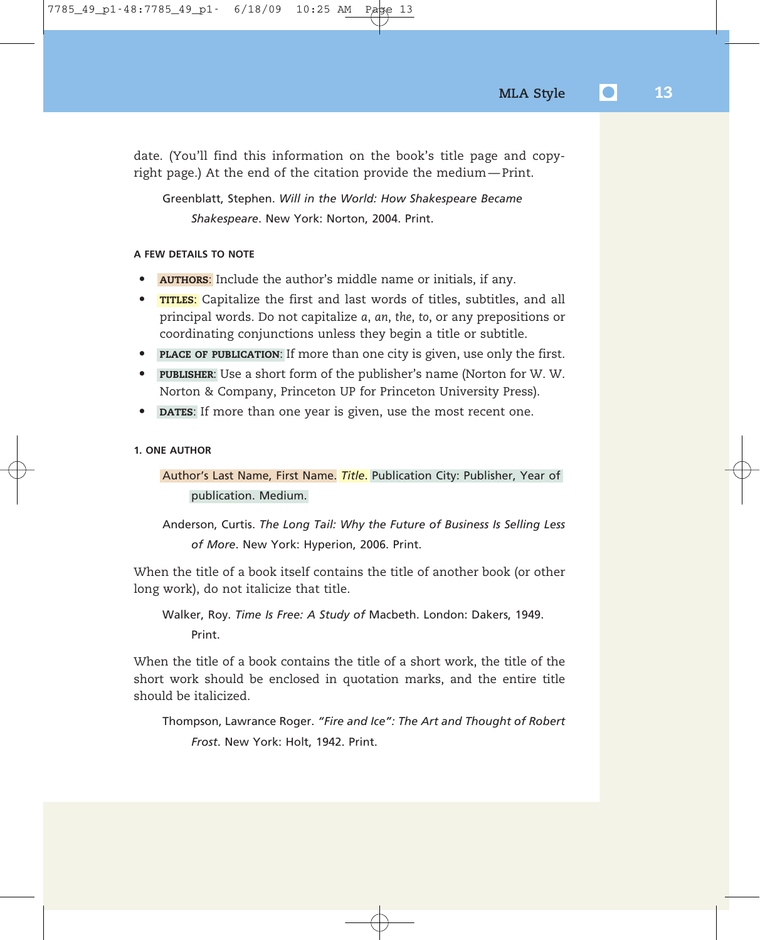date. (You'll find this information on the book's title page and copyright page.) At the end of the citation provide the medium — Print.

Greenblatt, Stephen. *Will in the World: How Shakespeare Became Shakespeare*. New York: Norton, 2004. Print.

### **A FEW DETAILS TO NOTE**

- **AUTHORS**: Include the author's middle name or initials, if any.
- **TITLES**: Capitalize the first and last words of titles, subtitles, and all principal words. Do not capitalize *a*, *an*, *the*, *to*, or any prepositions or coordinating conjunctions unless they begin a title or subtitle.
- **PLACE OF PUBLICATION**: If more than one city is given, use only the first.
- **PUBLISHER**: Use a short form of the publisher's name (Norton for W. W. Norton & Company, Princeton UP for Princeton University Press).
- **DATES:** If more than one year is given, use the most recent one.

### **1. ONE AUTHOR**

### Author's Last Name, First Name. *Title*. Publication City: Publisher, Year of publication. Medium.

Anderson, Curtis. *The Long Tail: Why the Future of Business Is Selling Less of More*. New York: Hyperion, 2006. Print.

When the title of a book itself contains the title of another book (or other long work), do not italicize that title.

Walker, Roy. *Time Is Free: A Study of* Macbeth. London: Dakers, 1949. Print.

When the title of a book contains the title of a short work, the title of the short work should be enclosed in quotation marks, and the entire title should be italicized.

Thompson, Lawrance Roger. *"Fire and Ice": The Art and Thought of Robert Frost*. New York: Holt, 1942. Print.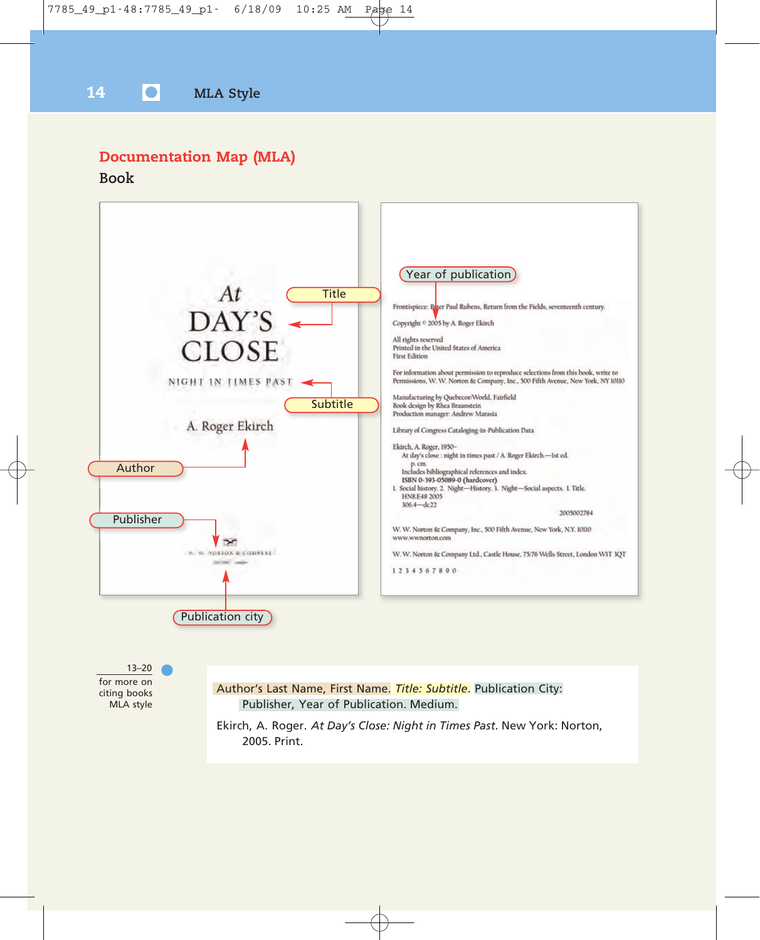## **Documentation Map (MLA)**

**Book**

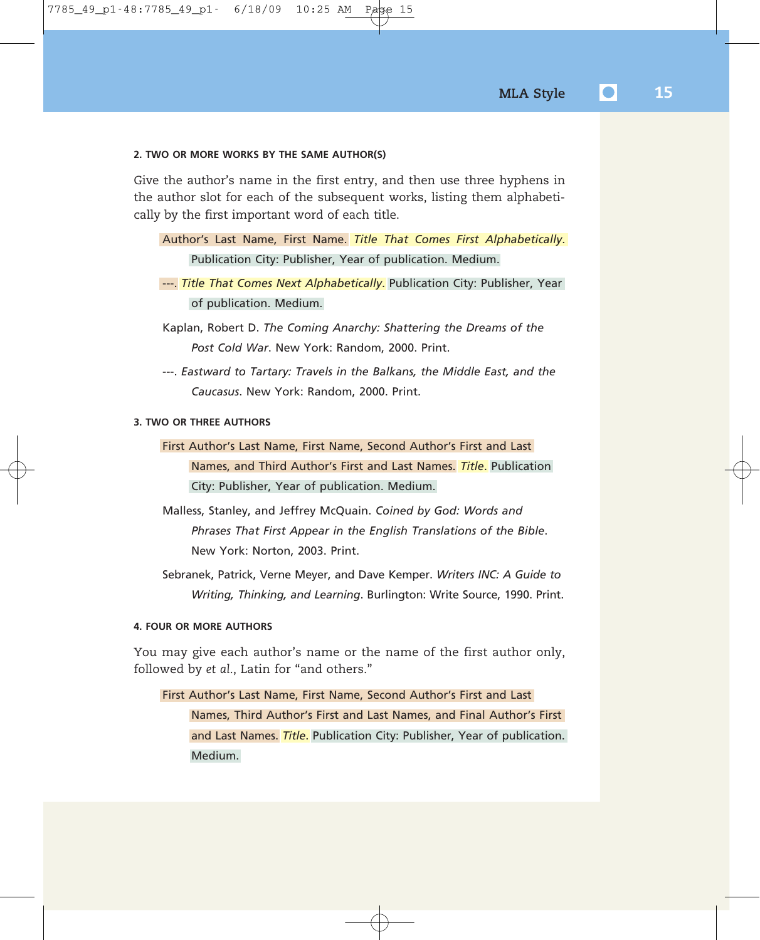### **2. TWO OR MORE WORKS BY THE SAME AUTHOR(S)**

Give the author's name in the first entry, and then use three hyphens in the author slot for each of the subsequent works, listing them alphabetically by the first important word of each title.

- Author's Last Name, First Name. *Title That Comes First Alphabetically*. Publication City: Publisher, Year of publication. Medium.
- ---. *Title That Comes Next Alphabetically*. Publication City: Publisher, Year of publication. Medium.
- Kaplan, Robert D. *The Coming Anarchy: Shattering the Dreams of the Post Cold War*. New York: Random, 2000. Print.
- ---. *Eastward to Tartary: Travels in the Balkans, the Middle East, and the Caucasus*. New York: Random, 2000. Print.

#### **3. TWO OR THREE AUTHORS**

- First Author's Last Name, First Name, Second Author's First and Last Names, and Third Author's First and Last Names. *Title*. Publication City: Publisher, Year of publication. Medium.
- Malless, Stanley, and Jeffrey McQuain. *Coined by God: Words and Phrases That First Appear in the English Translations of the Bible*. New York: Norton, 2003. Print.
- Sebranek, Patrick, Verne Meyer, and Dave Kemper. *Writers INC: A Guide to Writing, Thinking, and Learning*. Burlington: Write Source, 1990. Print.

#### **4. FOUR OR MORE AUTHORS**

You may give each author's name or the name of the first author only, followed by *et al*., Latin for "and others."

### First Author's Last Name, First Name, Second Author's First and Last Names, Third Author's First and Last Names, and Final Author's First and Last Names. *Title*. Publication City: Publisher, Year of publication. Medium.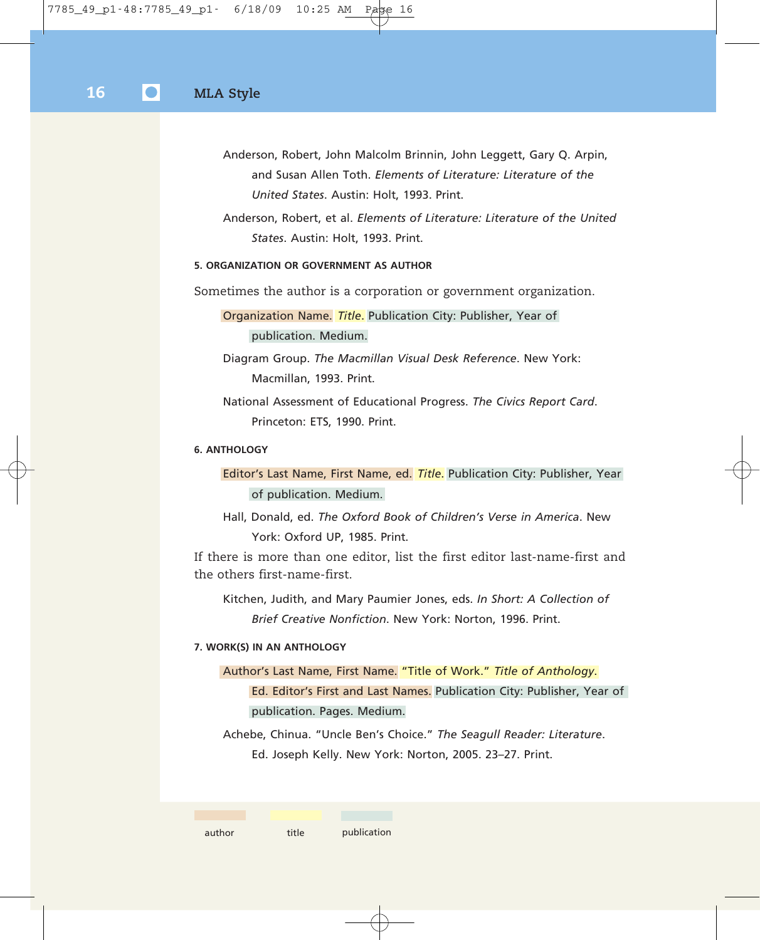- Anderson, Robert, John Malcolm Brinnin, John Leggett, Gary Q. Arpin, and Susan Allen Toth. *Elements of Literature: Literature of the United States*. Austin: Holt, 1993. Print.
- Anderson, Robert, et al. *Elements of Literature: Literature of the United States*. Austin: Holt, 1993. Print.

### **5. ORGANIZATION OR GOVERNMENT AS AUTHOR**

Sometimes the author is a corporation or government organization.

Organization Name. *Title*. Publication City: Publisher, Year of publication. Medium.

Diagram Group. *The Macmillan Visual Desk Reference*. New York: Macmillan, 1993. Print.

National Assessment of Educational Progress. *The Civics Report Card*. Princeton: ETS, 1990. Print.

### **6. ANTHOLOGY**

Editor's Last Name, First Name, ed. *Title*. Publication City: Publisher, Year of publication. Medium.

Hall, Donald, ed. *The Oxford Book of Children's Verse in America*. New York: Oxford UP, 1985. Print.

If there is more than one editor, list the first editor last-name-first and the others first-name-first.

Kitchen, Judith, and Mary Paumier Jones, eds. *In Short: A Collection of Brief Creative Nonfiction*. New York: Norton, 1996. Print.

### **7. WORK(S) IN AN ANTHOLOGY**

Author's Last Name, First Name. "Title of Work." *Title of Anthology*. Ed. Editor's First and Last Names. Publication City: Publisher, Year of publication. Pages. Medium.

Achebe, Chinua. "Uncle Ben's Choice." *The Seagull Reader: Literature*. Ed. Joseph Kelly. New York: Norton, 2005. 23–27. Print.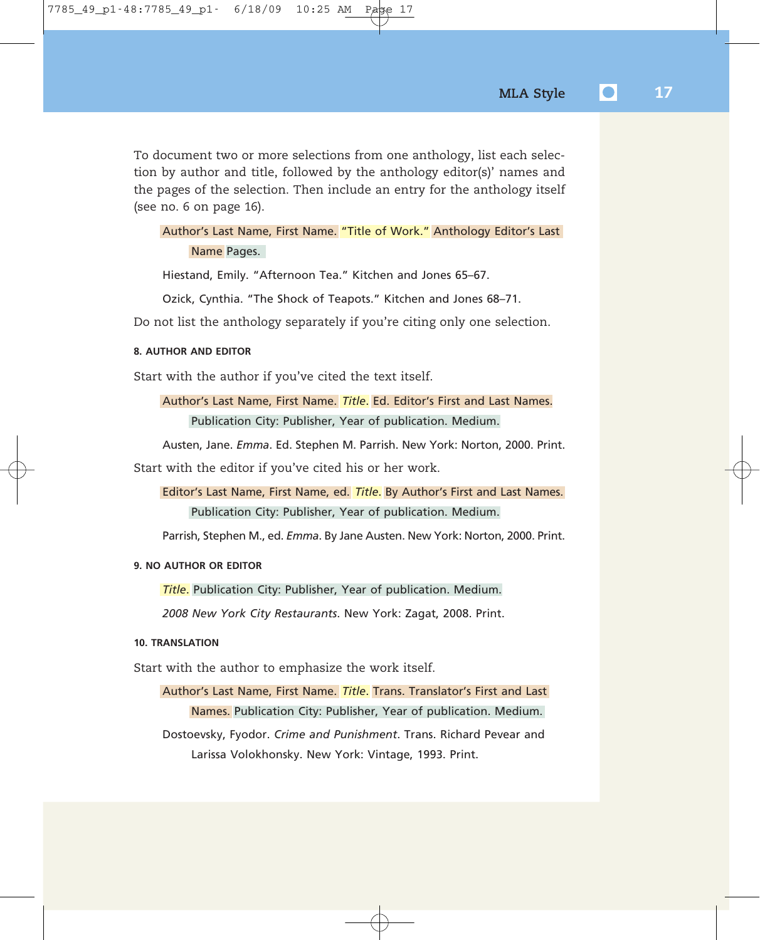To document two or more selections from one anthology, list each selection by author and title, followed by the anthology editor(s)' names and the pages of the selection. Then include an entry for the anthology itself (see no. 6 on page 16).

### Author's Last Name, First Name. "Title of Work." Anthology Editor's Last Name Pages.

Hiestand, Emily. "Afternoon Tea." Kitchen and Jones 65–67.

Ozick, Cynthia. "The Shock of Teapots." Kitchen and Jones 68–71.

Do not list the anthology separately if you're citing only one selection.

### **8. AUTHOR AND EDITOR**

Start with the author if you've cited the text itself.

### Author's Last Name, First Name. *Title*. Ed. Editor's First and Last Names. Publication City: Publisher, Year of publication. Medium.

Austen, Jane. *Emma*. Ed. Stephen M. Parrish. New York: Norton, 2000. Print.

Start with the editor if you've cited his or her work.

Editor's Last Name, First Name, ed. *Title*. By Author's First and Last Names. Publication City: Publisher, Year of publication. Medium.

Parrish, Stephen M., ed. *Emma*. By Jane Austen. New York: Norton, 2000. Print.

### **9. NO AUTHOR OR EDITOR**

*Title*. Publication City: Publisher, Year of publication. Medium.

*2008 New York City Restaurants*. New York: Zagat, 2008. Print.

### **10. TRANSLATION**

Start with the author to emphasize the work itself.

Author's Last Name, First Name. *Title*. Trans. Translator's First and Last Names. Publication City: Publisher, Year of publication. Medium. Dostoevsky, Fyodor. *Crime and Punishment*. Trans. Richard Pevear and Larissa Volokhonsky. New York: Vintage, 1993. Print.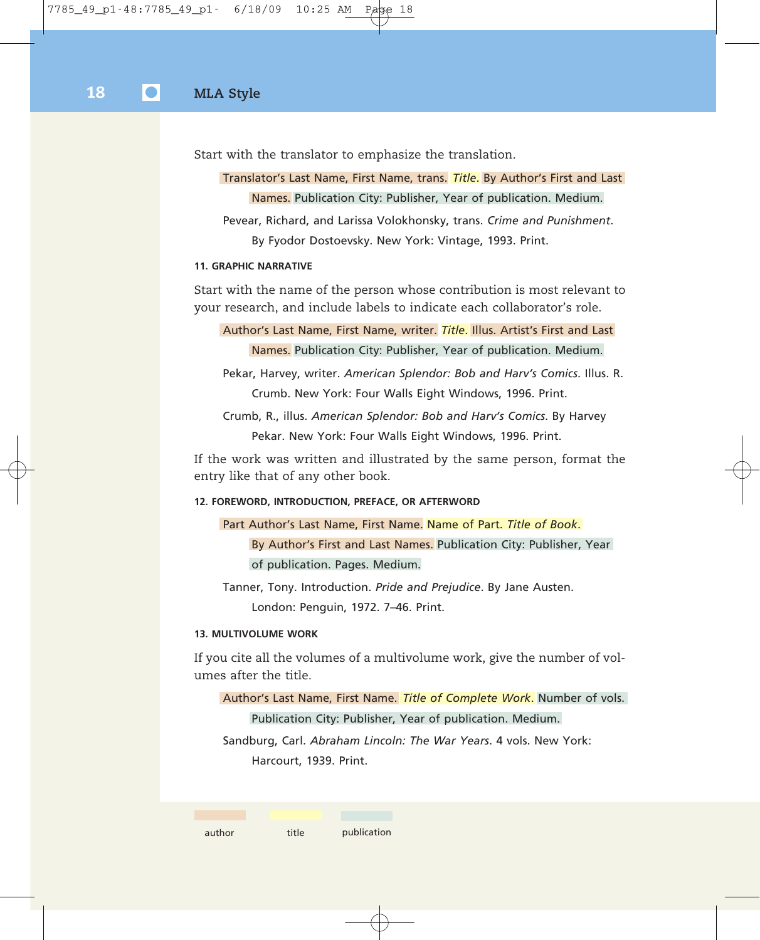Start with the translator to emphasize the translation.

Translator's Last Name, First Name, trans. *Title*. By Author's First and Last Names. Publication City: Publisher, Year of publication. Medium.

Pevear, Richard, and Larissa Volokhonsky, trans. *Crime and Punishment*. By Fyodor Dostoevsky. New York: Vintage, 1993. Print.

### **11. GRAPHIC NARRATIVE**

Start with the name of the person whose contribution is most relevant to your research, and include labels to indicate each collaborator's role.

Author's Last Name, First Name, writer. *Title*. Illus. Artist's First and Last Names. Publication City: Publisher, Year of publication. Medium.

Pekar, Harvey, writer. *American Splendor: Bob and Harv's Comics*. Illus. R. Crumb. New York: Four Walls Eight Windows, 1996. Print.

Crumb, R., illus. *American Splendor: Bob and Harv's Comics*. By Harvey Pekar. New York: Four Walls Eight Windows, 1996. Print.

If the work was written and illustrated by the same person, format the entry like that of any other book.

#### **12. FOREWORD, INTRODUCTION, PREFACE, OR AFTERWORD**

Part Author's Last Name, First Name. Name of Part. *Title of Book*. By Author's First and Last Names. Publication City: Publisher, Year of publication. Pages. Medium.

Tanner, Tony. Introduction. *Pride and Prejudice*. By Jane Austen. London: Penguin, 1972. 7–46. Print.

### **13. MULTIVOLUME WORK**

If you cite all the volumes of a multivolume work, give the number of volumes after the title.

Author's Last Name, First Name. *Title of Complete Work*. Number of vols. Publication City: Publisher, Year of publication. Medium.

Sandburg, Carl. *Abraham Lincoln: The War Years*. 4 vols. New York: Harcourt, 1939. Print.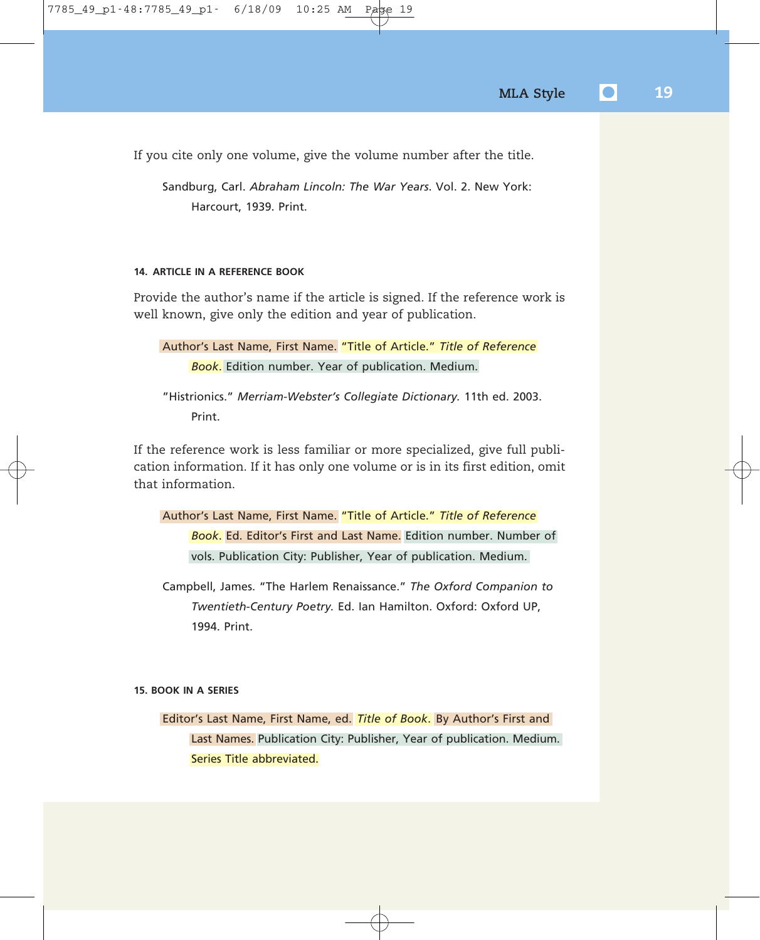If you cite only one volume, give the volume number after the title.

Sandburg, Carl. *Abraham Lincoln: The War Years*. Vol. 2. New York: Harcourt, 1939. Print.

### **14. ARTICLE IN A REFERENCE BOOK**

Provide the author's name if the article is signed. If the reference work is well known, give only the edition and year of publication.

```
Author's Last Name, First Name. "Title of Article." Title of Reference
Book. Edition number. Year of publication. Medium.
```
"Histrionics." *Merriam-Webster's Collegiate Dictionary.* 11th ed. 2003. Print.

If the reference work is less familiar or more specialized, give full publication information. If it has only one volume or is in its first edition, omit that information.

```
Author's Last Name, First Name. "Title of Article." Title of Reference
Book. Ed. Editor's First and Last Name. Edition number. Number of
vols. Publication City: Publisher, Year of publication. Medium.
```
Campbell, James. "The Harlem Renaissance." *The Oxford Companion to Twentieth-Century Poetry.* Ed. Ian Hamilton. Oxford: Oxford UP, 1994. Print.

### **15. BOOK IN A SERIES**

Editor's Last Name, First Name, ed. *Title of Book*. By Author's First and Last Names. Publication City: Publisher, Year of publication. Medium. Series Title abbreviated.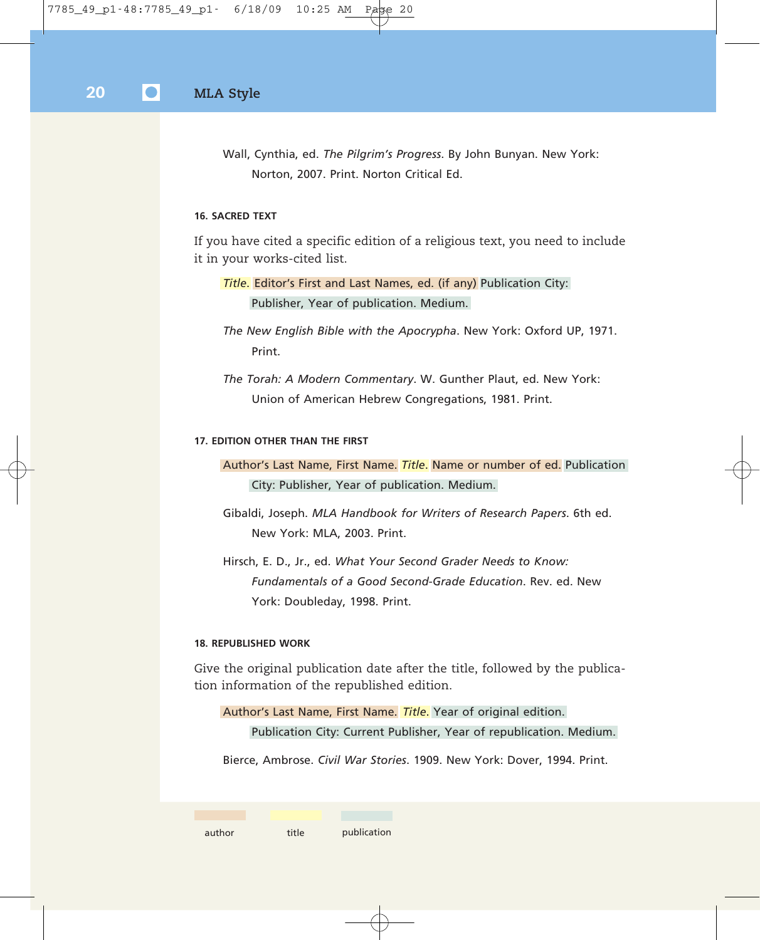Wall, Cynthia, ed. *The Pilgrim's Progress*. By John Bunyan. New York: Norton, 2007. Print. Norton Critical Ed.

### **16. SACRED TEXT**

If you have cited a specific edition of a religious text, you need to include it in your works-cited list.

*Title*. Editor's First and Last Names, ed. (if any) Publication City: Publisher, Year of publication. Medium.

*The New English Bible with the Apocrypha*. New York: Oxford UP, 1971. Print.

*The Torah: A Modern Commentary*. W. Gunther Plaut, ed. New York: Union of American Hebrew Congregations, 1981. Print.

### **17. EDITION OTHER THAN THE FIRST**

Author's Last Name, First Name. *Title*. Name or number of ed. Publication City: Publisher, Year of publication. Medium.

Gibaldi, Joseph. *MLA Handbook for Writers of Research Papers*. 6th ed. New York: MLA, 2003. Print.

Hirsch, E. D., Jr., ed. *What Your Second Grader Needs to Know: Fundamentals of a Good Second-Grade Education*. Rev. ed. New York: Doubleday, 1998. Print.

### **18. REPUBLISHED WORK**

Give the original publication date after the title, followed by the publication information of the republished edition.

Author's Last Name, First Name. *Title*. Year of original edition. Publication City: Current Publisher, Year of republication. Medium.

Bierce, Ambrose. *Civil War Stories*. 1909. New York: Dover, 1994. Print.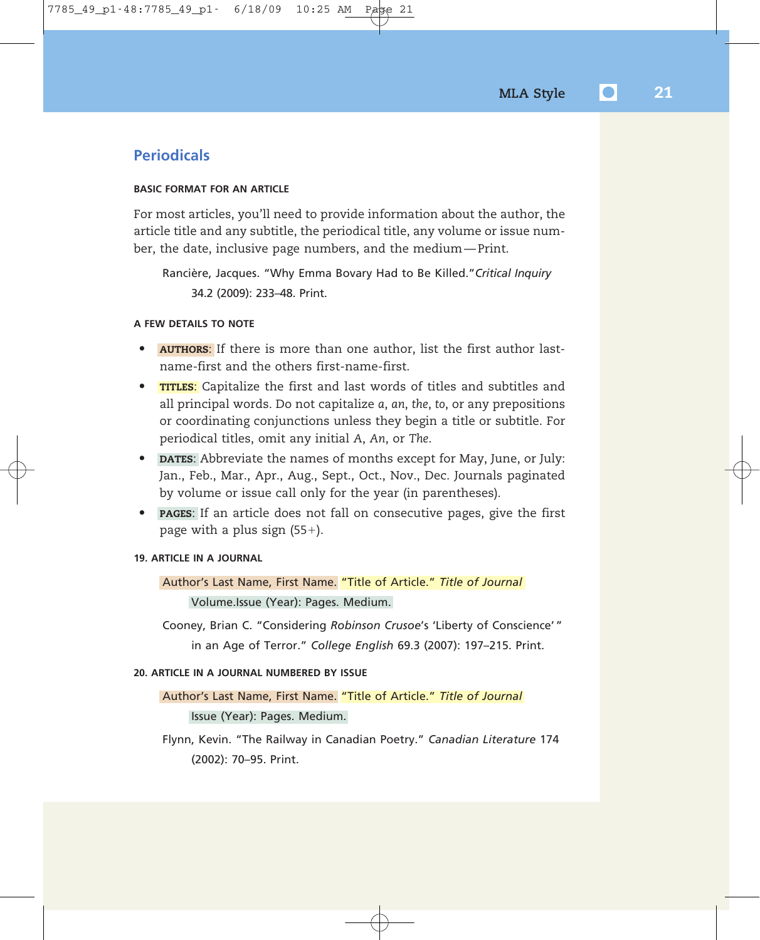### **Periodicals**

### **BASIC FORMAT FOR AN ARTICLE**

For most articles, you'll need to provide information about the author, the article title and any subtitle, the periodical title, any volume or issue number, the date, inclusive page numbers, and the medium — Print.

Rancière, Jacques. "Why Emma Bovary Had to Be Killed."*Critical Inquiry* 34.2 (2009): 233–48. Print.

### **A FEW DETAILS TO NOTE**

- **AUTHORS**: If there is more than one author, list the first author lastname-first and the others first-name-first.
- **TITLES**: Capitalize the first and last words of titles and subtitles and all principal words. Do not capitalize *a*, *an*, *the*, *to*, or any prepositions or coordinating conjunctions unless they begin a title or subtitle. For periodical titles, omit any initial *A*, *An*, or *The*.
- **DATES**: Abbreviate the names of months except for May, June, or July: Jan., Feb., Mar., Apr., Aug., Sept., Oct., Nov., Dec. Journals paginated by volume or issue call only for the year (in parentheses).
- **PAGES**: If an article does not fall on consecutive pages, give the first page with a plus sign (55-).

### **19. ARTICLE IN A JOURNAL**

Author's Last Name, First Name. "Title of Article." *Title of Journal* Volume.Issue (Year): Pages. Medium.

Cooney, Brian C. "Considering *Robinson Crusoe*'s 'Liberty of Conscience' " in an Age of Terror." *College English* 69.3 (2007): 197–215. Print.

### **20. ARTICLE IN A JOURNAL NUMBERED BY ISSUE**

### Author's Last Name, First Name. "Title of Article." *Title of Journal*

Issue (Year): Pages. Medium.

Flynn, Kevin. "The Railway in Canadian Poetry." *Canadian Literature* 174 (2002): 70–95. Print.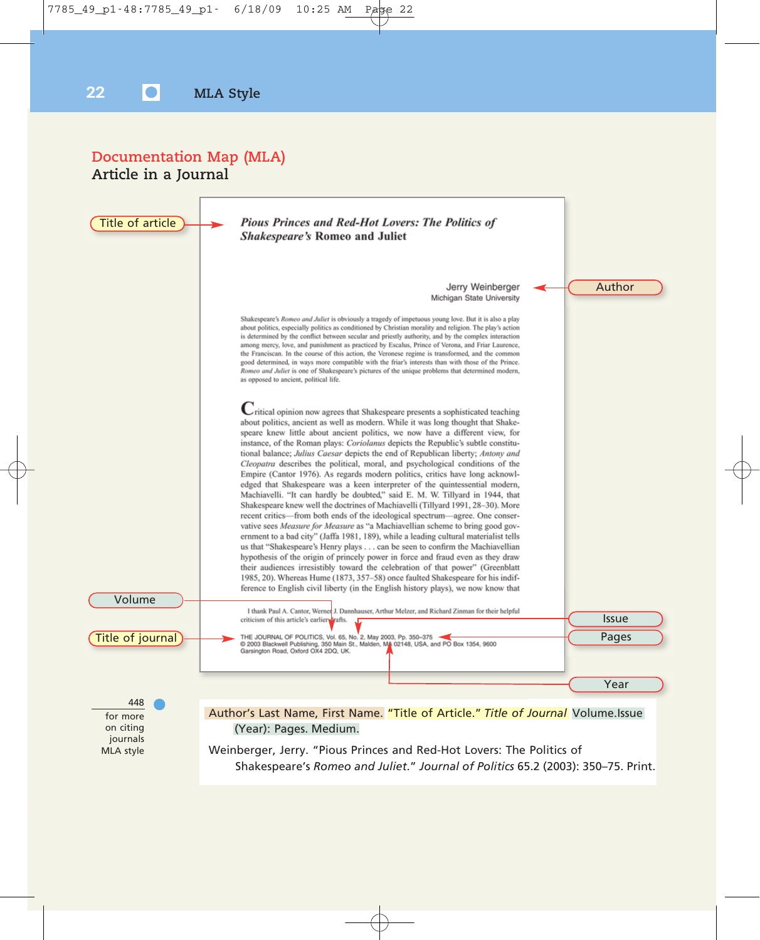### **Documentation Map (MLA) Article in a Journal**

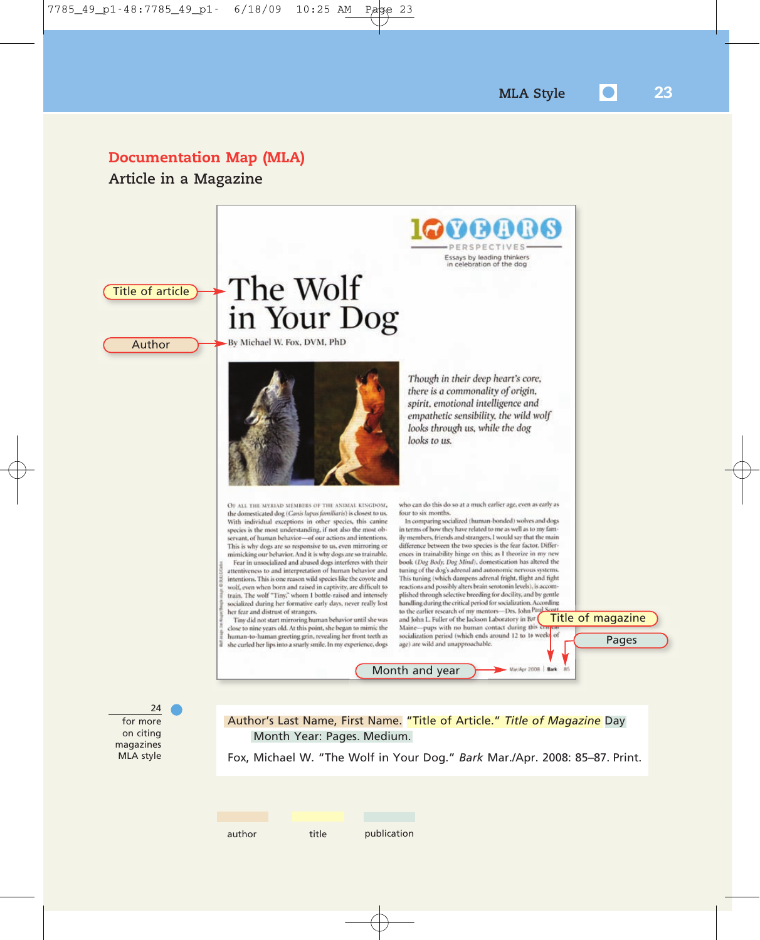### **Documentation Map (MLA)**

**Article in a Magazine**

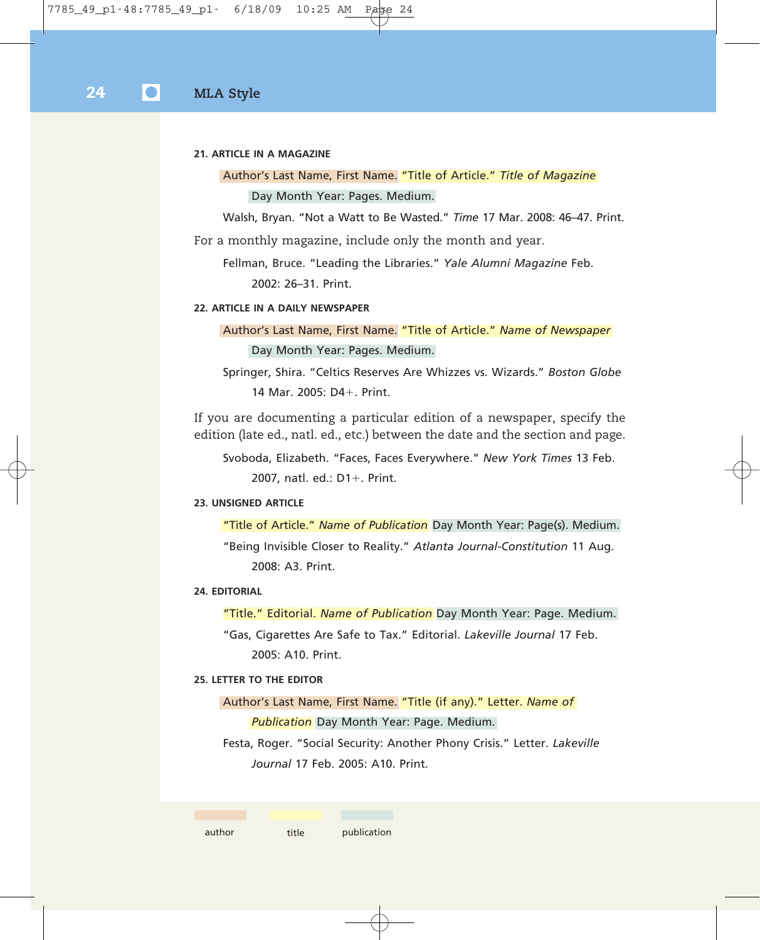### **21. ARTICLE IN A MAGAZINE**

Author's Last Name, First Name. "Title of Article." *Title of Magazine* Day Month Year: Pages. Medium.

Walsh, Bryan. "Not a Watt to Be Wasted." *Time* 17 Mar. 2008: 46–47. Print.

For a monthly magazine, include only the month and year.

Fellman, Bruce. "Leading the Libraries." *Yale Alumni Magazine* Feb. 2002: 26–31. Print.

### **22. ARTICLE IN A DAILY NEWSPAPER**

Author's Last Name, First Name. "Title of Article." *Name of Newspaper* Day Month Year: Pages. Medium.

Springer, Shira. "Celtics Reserves Are Whizzes vs. Wizards." *Boston Globe* 14 Mar. 2005: D4-. Print.

If you are documenting a particular edition of a newspaper, specify the edition (late ed., natl. ed., etc.) between the date and the section and page.

Svoboda, Elizabeth. "Faces, Faces Everywhere." *New York Times* 13 Feb. 2007, natl. ed.: D1-. Print.

### **23. UNSIGNED ARTICLE**

"Title of Article." *Name of Publication* Day Month Year: Page(s). Medium. "Being Invisible Closer to Reality." *Atlanta Journal-Constitution* 11 Aug. 2008: A3. Print.

#### **24. EDITORIAL**

"Title." Editorial. *Name of Publication* Day Month Year: Page. Medium.

"Gas, Cigarettes Are Safe to Tax." Editorial. *Lakeville Journal* 17 Feb. 2005: A10. Print.

### **25. LETTER TO THE EDITOR**

Author's Last Name, First Name. "Title (if any)." Letter. *Name of Publication* Day Month Year: Page. Medium.

Festa, Roger. "Social Security: Another Phony Crisis." Letter. *Lakeville Journal* 17 Feb. 2005: A10. Print.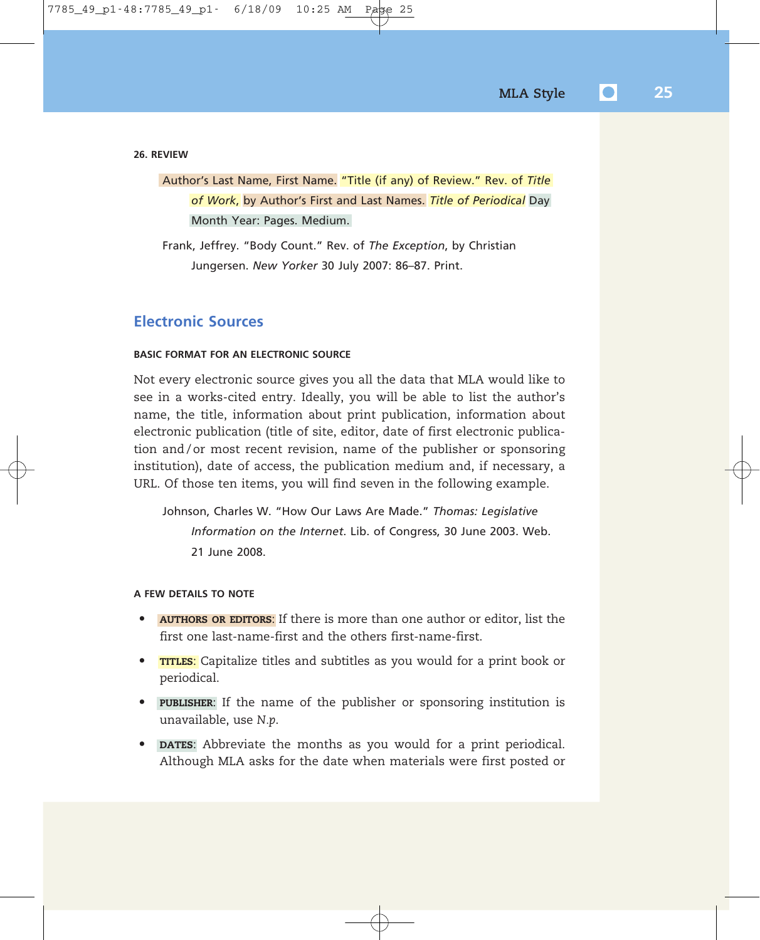**26. REVIEW**

Author's Last Name, First Name. "Title (if any) of Review." Rev. of *Title of Work*, by Author's First and Last Names. *Title of Periodical* Day Month Year: Pages. Medium.

Frank, Jeffrey. "Body Count." Rev. of *The Exception*, by Christian Jungersen. *New Yorker* 30 July 2007: 86–87. Print.

### **Electronic Sources**

### **BASIC FORMAT FOR AN ELECTRONIC SOURCE**

Not every electronic source gives you all the data that MLA would like to see in a works-cited entry. Ideally, you will be able to list the author's name, the title, information about print publication, information about electronic publication (title of site, editor, date of first electronic publication and/or most recent revision, name of the publisher or sponsoring institution), date of access, the publication medium and, if necessary, a URL. Of those ten items, you will find seven in the following example.

Johnson, Charles W. "How Our Laws Are Made." *Thomas: Legislative Information on the Internet*. Lib. of Congress, 30 June 2003. Web. 21 June 2008.

### **A FEW DETAILS TO NOTE**

- **AUTHORS OR EDITORS**: If there is more than one author or editor, list the first one last-name-first and the others first-name-first.
- **TITLES**: Capitalize titles and subtitles as you would for a print book or periodical.
- **PUBLISHER**: If the name of the publisher or sponsoring institution is unavailable, use *N.p*.
- **DATES**: Abbreviate the months as you would for a print periodical. Although MLA asks for the date when materials were first posted or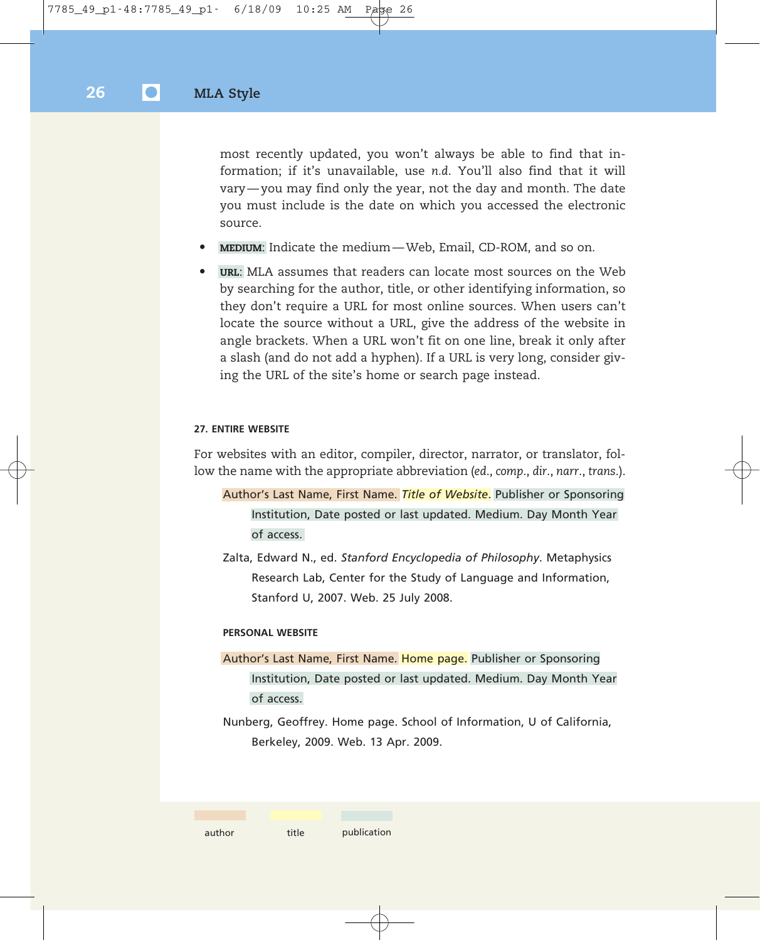most recently updated, you won't always be able to find that information; if it's unavailable, use *n.d*. You'll also find that it will vary — you may find only the year, not the day and month. The date you must include is the date on which you accessed the electronic source.

- **MEDIUM**: Indicate the medium Web, Email, CD-ROM, and so on.
- **URL**: MLA assumes that readers can locate most sources on the Web by searching for the author, title, or other identifying information, so they don't require a URL for most online sources. When users can't locate the source without a URL, give the address of the website in angle brackets. When a URL won't fit on one line, break it only after a slash (and do not add a hyphen). If a URL is very long, consider giving the URL of the site's home or search page instead.

#### **27. ENTIRE WEBSITE**

For websites with an editor, compiler, director, narrator, or translator, follow the name with the appropriate abbreviation (*ed*., *comp*., *dir*., *narr*., *trans*.).

- Author's Last Name, First Name. *Title of Website*. Publisher or Sponsoring Institution, Date posted or last updated. Medium. Day Month Year of access.
- Zalta, Edward N., ed. *Stanford Encyclopedia of Philosophy*. Metaphysics Research Lab, Center for the Study of Language and Information, Stanford U, 2007. Web. 25 July 2008.

#### **PERSONAL WEBSITE**

Author's Last Name, First Name. Home page. Publisher or Sponsoring Institution, Date posted or last updated. Medium. Day Month Year of access.

Nunberg, Geoffrey. Home page. School of Information, U of California, Berkeley, 2009. Web. 13 Apr. 2009.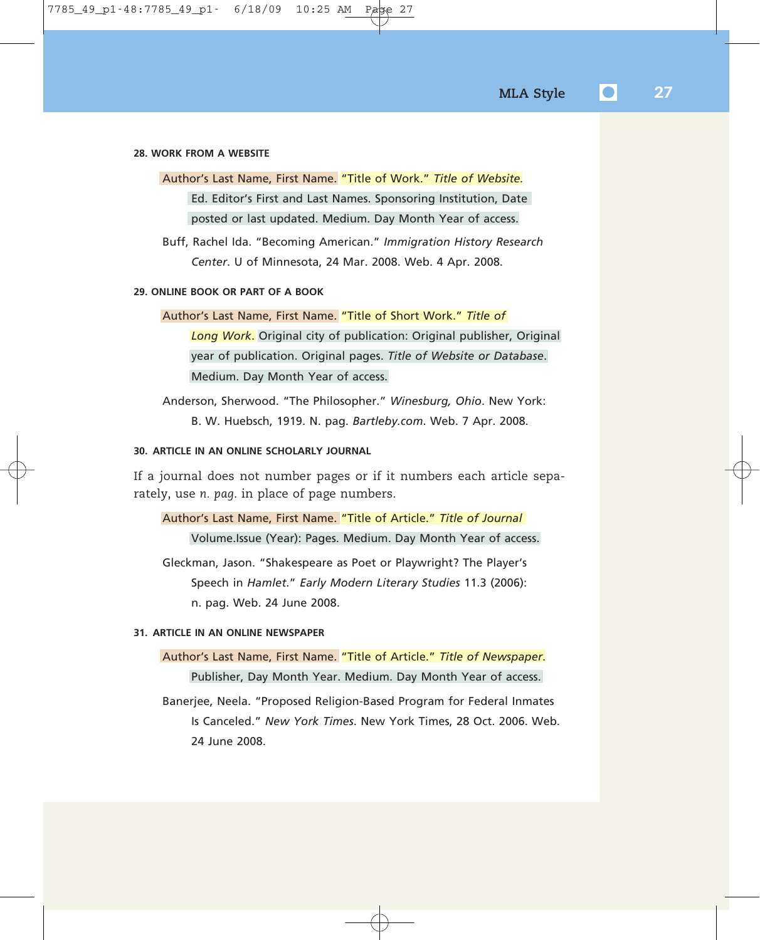#### **28. WORK FROM A WEBSITE**

Author's Last Name, First Name. "Title of Work." *Title of Website.* Ed. Editor's First and Last Names. Sponsoring Institution, Date posted or last updated. Medium. Day Month Year of access.

Buff, Rachel Ida. "Becoming American." *Immigration History Research Center*. U of Minnesota, 24 Mar. 2008. Web. 4 Apr. 2008.

### **29. ONLINE BOOK OR PART OF A BOOK**

### Author's Last Name, First Name. "Title of Short Work." *Title of*

*Long Work*. Original city of publication: Original publisher, Original year of publication. Original pages. *Title of Website or Database*. Medium. Day Month Year of access.

Anderson, Sherwood. "The Philosopher." *Winesburg, Ohio*. New York: B. W. Huebsch, 1919. N. pag. *Bartleby.com*. Web. 7 Apr. 2008.

### **30. ARTICLE IN AN ONLINE SCHOLARLY JOURNAL**

If a journal does not number pages or if it numbers each article separately, use *n. pag*. in place of page numbers.

Author's Last Name, First Name. "Title of Article." *Title of Journal* Volume.Issue (Year): Pages. Medium. Day Month Year of access.

Gleckman, Jason. "Shakespeare as Poet or Playwright? The Player's Speech in *Hamlet*." *Early Modern Literary Studies* 11.3 (2006): n. pag. Web. 24 June 2008.

### **31. ARTICLE IN AN ONLINE NEWSPAPER**

Author's Last Name, First Name. "Title of Article." *Title of Newspaper*. Publisher, Day Month Year. Medium. Day Month Year of access.

Banerjee, Neela. "Proposed Religion-Based Program for Federal Inmates Is Canceled." *New York Times*. New York Times, 28 Oct. 2006. Web. 24 June 2008.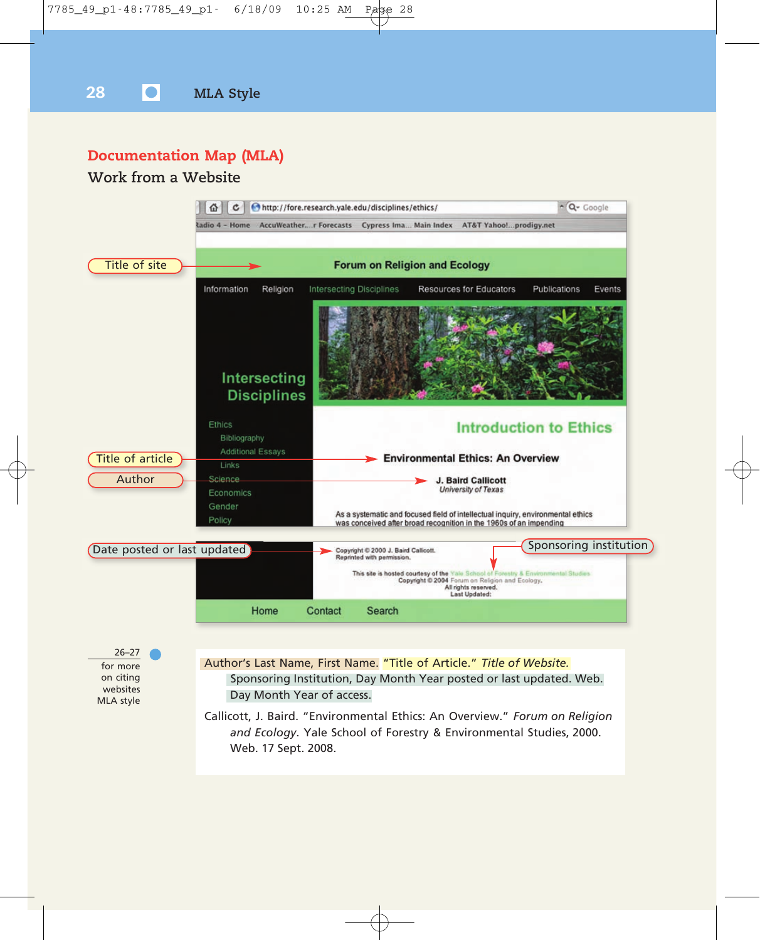

### **Documentation Map (MLA)**

### **Work from a Website**



websites MLA style Sponsoring Institution, Day Month Year posted or last updated. Web. Day Month Year of access.

Callicott, J. Baird. "Environmental Ethics: An Overview." *Forum on Religion and Ecology*. Yale School of Forestry & Environmental Studies, 2000. Web. 17 Sept. 2008.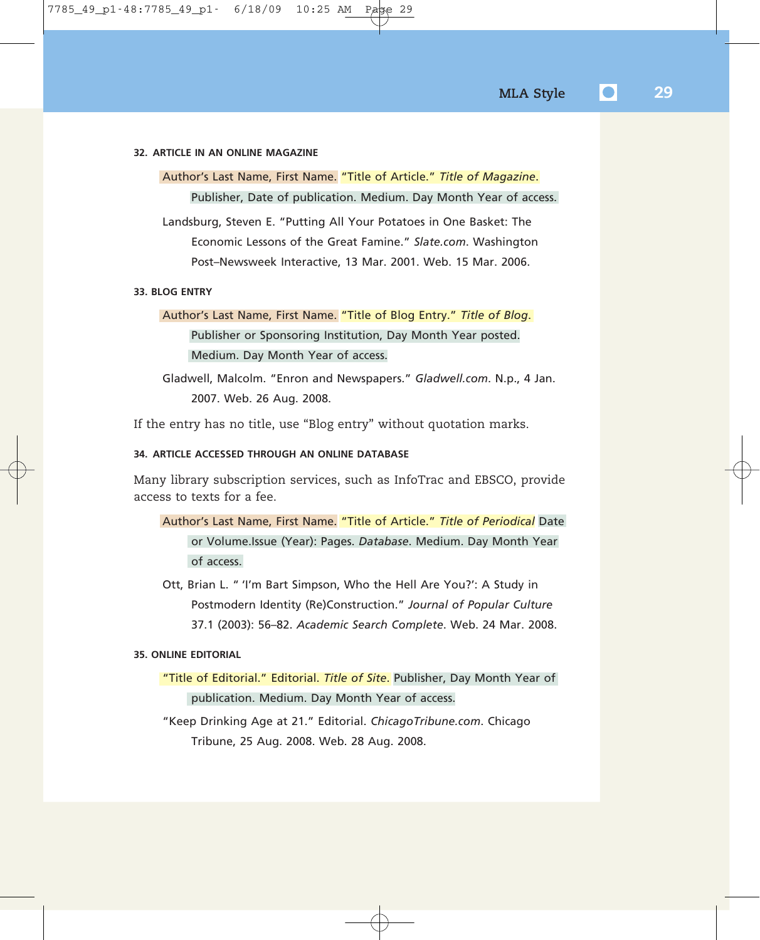#### **32. ARTICLE IN AN ONLINE MAGAZINE**

Author's Last Name, First Name. "Title of Article." *Title of Magazine*. Publisher, Date of publication. Medium. Day Month Year of access.

Landsburg, Steven E. "Putting All Your Potatoes in One Basket: The Economic Lessons of the Great Famine." *Slate.com*. Washington Post–Newsweek Interactive, 13 Mar. 2001. Web. 15 Mar. 2006.

### **33. BLOG ENTRY**

### Author's Last Name, First Name. "Title of Blog Entry." *Title of Blog*. Publisher or Sponsoring Institution, Day Month Year posted. Medium. Day Month Year of access.

Gladwell, Malcolm. "Enron and Newspapers." *Gladwell.com*. N.p., 4 Jan. 2007. Web. 26 Aug. 2008.

If the entry has no title, use "Blog entry" without quotation marks.

### **34. ARTICLE ACCESSED THROUGH AN ONLINE DATABASE**

Many library subscription services, such as InfoTrac and EBSCO, provide access to texts for a fee.

- Author's Last Name, First Name. "Title of Article." *Title of Periodical* Date or Volume.Issue (Year): Pages. *Database*. Medium. Day Month Year of access.
- Ott, Brian L. " 'I'm Bart Simpson, Who the Hell Are You?': A Study in Postmodern Identity (Re)Construction." *Journal of Popular Culture* 37.1 (2003): 56–82. *Academic Search Complete*. Web. 24 Mar. 2008.

### **35. ONLINE EDITORIAL**

- "Title of Editorial." Editorial. *Title of Site*. Publisher, Day Month Year of publication. Medium. Day Month Year of access.
- "Keep Drinking Age at 21." Editorial. *ChicagoTribune.com*. Chicago Tribune, 25 Aug. 2008. Web. 28 Aug. 2008.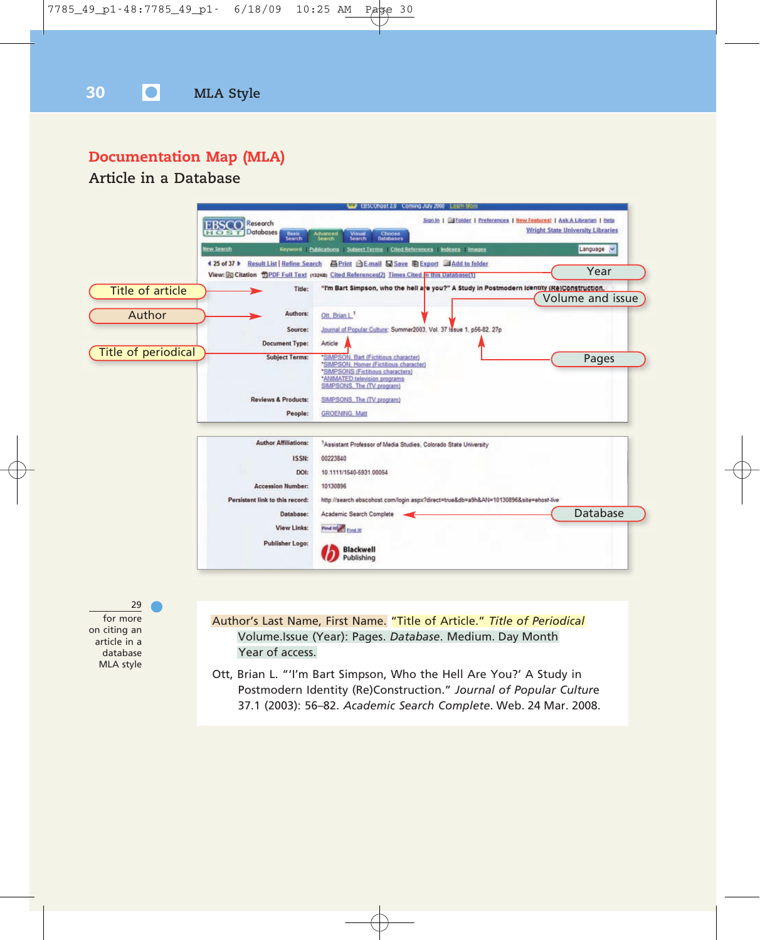### **Documentation Map (MLA)**

### **Article in a Database**



for more on citing an article in a database MLA style

Author's Last Name, First Name. "Title of Article." *Title of Periodical* Volume.Issue (Year): Pages. *Database*. Medium. Day Month Year of access.

Ott, Brian L. "'I'm Bart Simpson, Who the Hell Are You?' A Study in Postmodern Identity (Re)Construction." *Journal of Popular Cultur*e 37.1 (2003): 56–82. *Academic Search Complete*. Web. 24 Mar. 2008.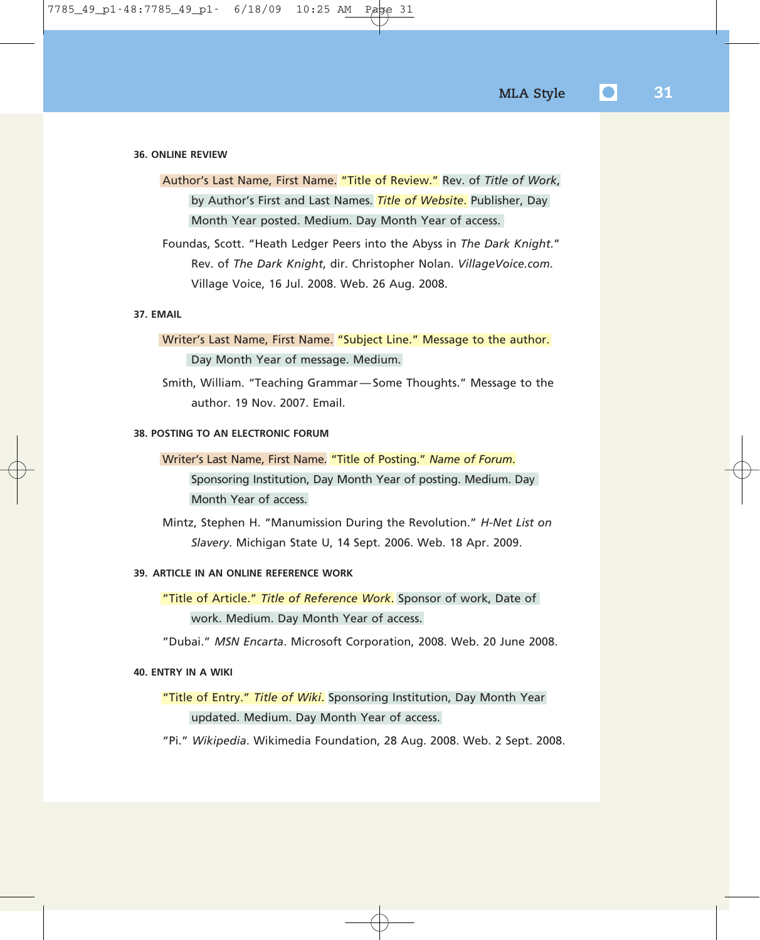#### **36. ONLINE REVIEW**

Author's Last Name, First Name. "Title of Review." Rev. of *Title of Work*, by Author's First and Last Names. *Title of Website*. Publisher, Day Month Year posted. Medium. Day Month Year of access.

Foundas, Scott. "Heath Ledger Peers into the Abyss in *The Dark Knight*." Rev. of *The Dark Knight*, dir. Christopher Nolan. *VillageVoice.com*. Village Voice, 16 Jul. 2008. Web. 26 Aug. 2008.

### **37. EMAIL**

### Writer's Last Name, First Name. "Subject Line." Message to the author. Day Month Year of message. Medium.

Smith, William. "Teaching Grammar — Some Thoughts." Message to the author. 19 Nov. 2007. Email.

### **38. POSTING TO AN ELECTRONIC FORUM**

Writer's Last Name, First Name. "Title of Posting." *Name of Forum*. Sponsoring Institution, Day Month Year of posting. Medium. Day Month Year of access.

Mintz, Stephen H. "Manumission During the Revolution." *H-Net List on Slavery*. Michigan State U, 14 Sept. 2006. Web. 18 Apr. 2009.

### **39. ARTICLE IN AN ONLINE REFERENCE WORK**

"Title of Article." *Title of Reference Work*. Sponsor of work, Date of work. Medium. Day Month Year of access.

"Dubai." *MSN Encarta*. Microsoft Corporation, 2008. Web. 20 June 2008.

### **40. ENTRY IN A WIKI**

### "Title of Entry." *Title of Wiki*. Sponsoring Institution, Day Month Year updated. Medium. Day Month Year of access.

"Pi." *Wikipedia*. Wikimedia Foundation, 28 Aug. 2008. Web. 2 Sept. 2008.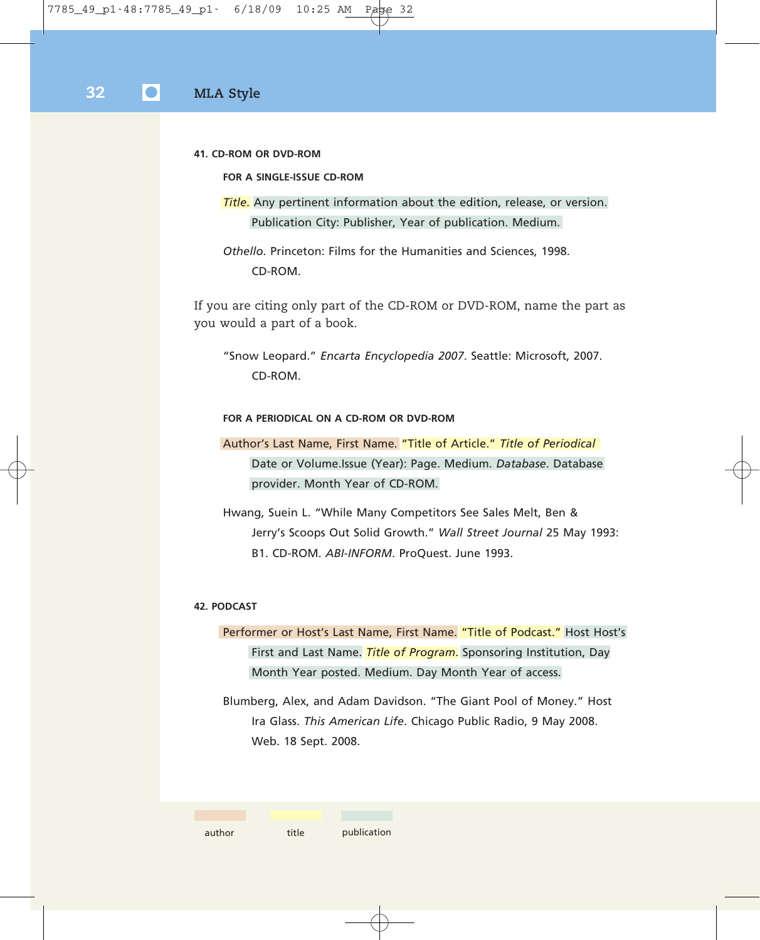**41. CD-ROM OR DVD-ROM**

**FOR A SINGLE-ISSUE CD-ROM**

*Title*. Any pertinent information about the edition, release, or version. Publication City: Publisher, Year of publication. Medium.

*Othello*. Princeton: Films for the Humanities and Sciences, 1998. CD-ROM.

If you are citing only part of the CD-ROM or DVD-ROM, name the part as you would a part of a book.

"Snow Leopard." *Encarta Encyclopedia 2007*. Seattle: Microsoft, 2007. CD-ROM.

### **FOR A PERIODICAL ON A CD-ROM OR DVD-ROM**

Author's Last Name, First Name. "Title of Article." *Title of Periodical* Date or Volume.Issue (Year): Page. Medium. *Database*. Database provider. Month Year of CD-ROM.

Hwang, Suein L. "While Many Competitors See Sales Melt, Ben & Jerry's Scoops Out Solid Growth." *Wall Street Journal* 25 May 1993: B1. CD-ROM. *ABI-INFORM*. ProQuest. June 1993.

#### **42. PODCAST**

Performer or Host's Last Name, First Name. "Title of Podcast." Host Host's First and Last Name. *Title of Program*. Sponsoring Institution, Day Month Year posted. Medium. Day Month Year of access.

Blumberg, Alex, and Adam Davidson. "The Giant Pool of Money." Host Ira Glass. *This American Life*. Chicago Public Radio, 9 May 2008. Web. 18 Sept. 2008.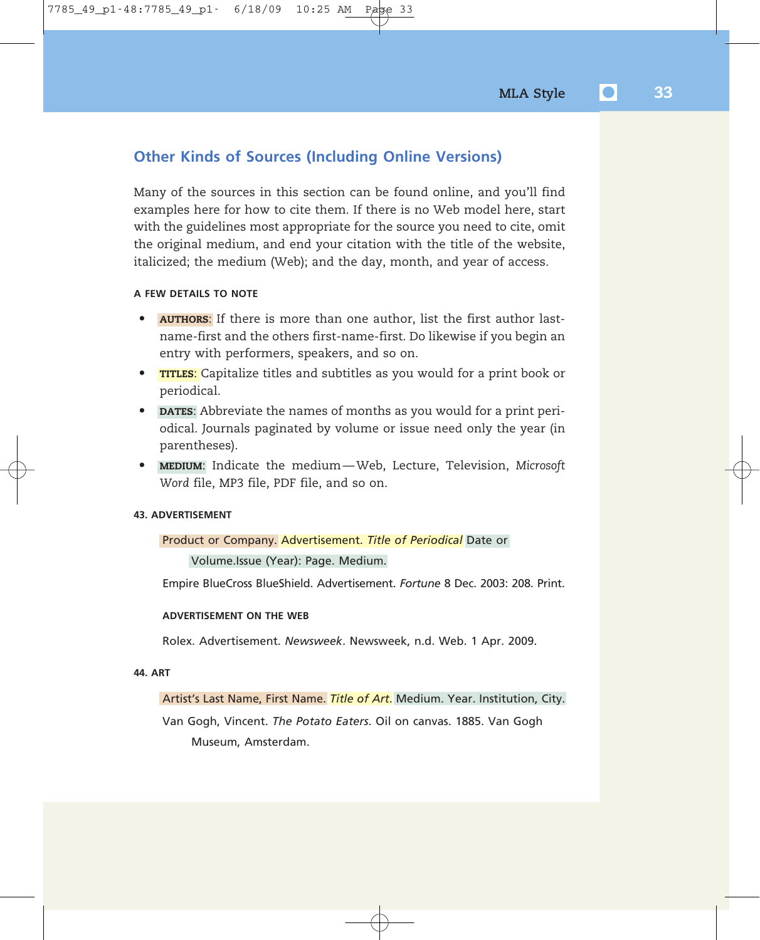### **Other Kinds of Sources (Including Online Versions)**

Many of the sources in this section can be found online, and you'll find examples here for how to cite them. If there is no Web model here, start with the guidelines most appropriate for the source you need to cite, omit the original medium, and end your citation with the title of the website, italicized; the medium (Web); and the day, month, and year of access.

### **A FEW DETAILS TO NOTE**

- **AUTHORS**: If there is more than one author, list the first author lastname-first and the others first-name-first. Do likewise if you begin an entry with performers, speakers, and so on.
- **TITLES**: Capitalize titles and subtitles as you would for a print book or periodical.
- **DATES**: Abbreviate the names of months as you would for a print periodical. Journals paginated by volume or issue need only the year (in parentheses).
- **MEDIUM**: Indicate the medium Web, Lecture, Television, *Microsoft Word* file, MP3 file, PDF file, and so on.

### **43. ADVERTISEMENT**

### Product or Company. Advertisement. *Title of Periodical* Date or

Volume.Issue (Year): Page. Medium.

Empire BlueCross BlueShield. Advertisement. *Fortune* 8 Dec. 2003: 208. Print.

### **ADVERTISEMENT ON THE WEB**

Rolex. Advertisement. *Newsweek*. Newsweek, n.d. Web. 1 Apr. 2009.

#### **44. ART**

### Artist's Last Name, First Name. *Title of Art*. Medium. Year. Institution, City.

Van Gogh, Vincent. *The Potato Eaters*. Oil on canvas. 1885. Van Gogh Museum, Amsterdam.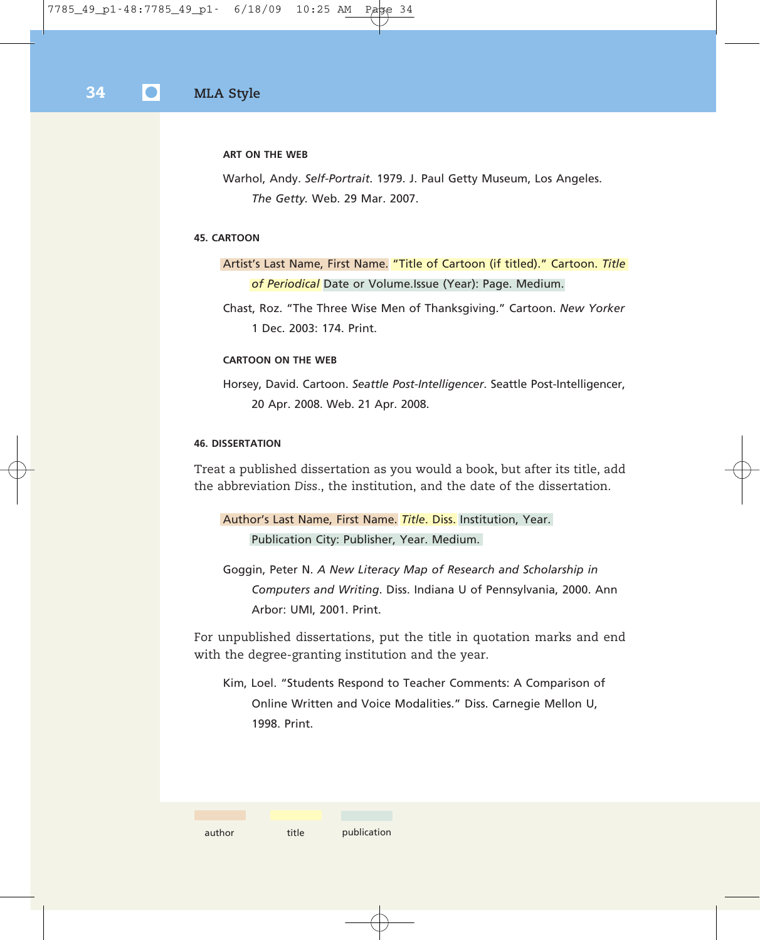#### **ART ON THE WEB**

Warhol, Andy. *Self-Portrait*. 1979. J. Paul Getty Museum, Los Angeles. *The Getty.* Web. 29 Mar. 2007.

### **45. CARTOON**

Artist's Last Name, First Name. "Title of Cartoon (if titled)." Cartoon. *Title of Periodical* Date or Volume.Issue (Year): Page. Medium.

Chast, Roz. "The Three Wise Men of Thanksgiving." Cartoon. *New Yorker* 1 Dec. 2003: 174. Print.

### **CARTOON ON THE WEB**

Horsey, David. Cartoon. *Seattle Post-Intelligencer*. Seattle Post-Intelligencer, 20 Apr. 2008. Web. 21 Apr. 2008.

### **46. DISSERTATION**

Treat a published dissertation as you would a book, but after its title, add the abbreviation *Diss.*, the institution, and the date of the dissertation.

```
Author's Last Name, First Name. Title. Diss. Institution, Year.
Publication City: Publisher, Year. Medium.
```
Goggin, Peter N. *A New Literacy Map of Research and Scholarship in Computers and Writing*. Diss. Indiana U of Pennsylvania, 2000. Ann Arbor: UMI, 2001. Print.

For unpublished dissertations, put the title in quotation marks and end with the degree-granting institution and the year.

Kim, Loel. "Students Respond to Teacher Comments: A Comparison of Online Written and Voice Modalities." Diss. Carnegie Mellon U, 1998. Print.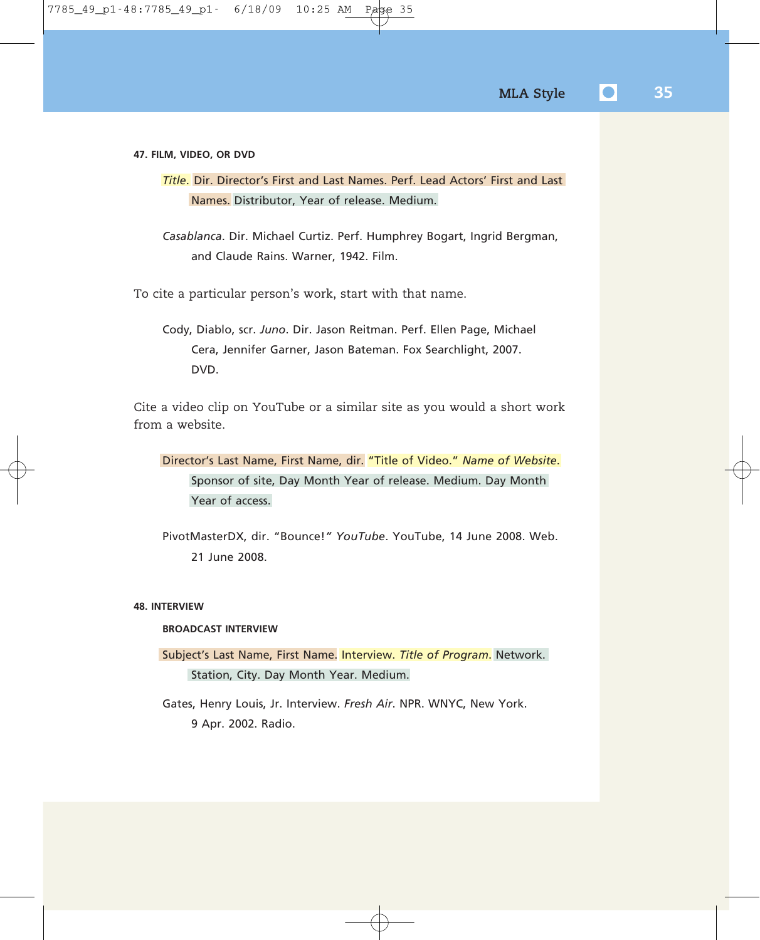#### **47. FILM, VIDEO, OR DVD**

*Title*. Dir. Director's First and Last Names. Perf. Lead Actors' First and Last Names. Distributor, Year of release. Medium.

*Casablanca*. Dir. Michael Curtiz. Perf. Humphrey Bogart, Ingrid Bergman, and Claude Rains. Warner, 1942. Film.

To cite a particular person's work, start with that name.

Cody, Diablo, scr. *Juno*. Dir. Jason Reitman. Perf. Ellen Page, Michael Cera, Jennifer Garner, Jason Bateman. Fox Searchlight, 2007. DVD.

Cite a video clip on YouTube or a similar site as you would a short work from a website.

Director's Last Name, First Name, dir. "Title of Video." *Name of Website*. Sponsor of site, Day Month Year of release. Medium. Day Month Year of access.

PivotMasterDX, dir. "Bounce!*" YouTube*. YouTube, 14 June 2008. Web. 21 June 2008.

### **48. INTERVIEW**

### **BROADCAST INTERVIEW**

Subject's Last Name, First Name. Interview. *Title of Program*. Network. Station, City. Day Month Year. Medium.

Gates, Henry Louis, Jr. Interview. *Fresh Air*. NPR. WNYC, New York. 9 Apr. 2002. Radio.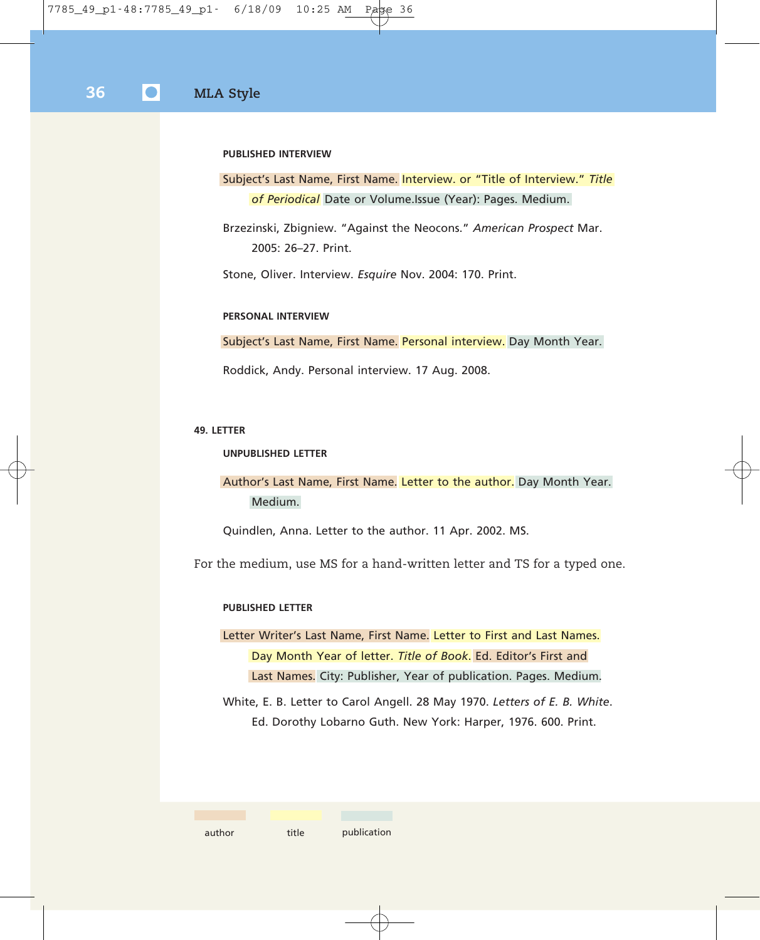### **PUBLISHED INTERVIEW**

### Subject's Last Name, First Name. Interview. or "Title of Interview." *Title of Periodical* Date or Volume.Issue (Year): Pages. Medium.

Brzezinski, Zbigniew. "Against the Neocons." *American Prospect* Mar. 2005: 26–27. Print.

Stone, Oliver. Interview. *Esquire* Nov. 2004: 170. Print.

#### **PERSONAL INTERVIEW**

Subject's Last Name, First Name. Personal interview. Day Month Year.

Roddick, Andy. Personal interview. 17 Aug. 2008.

#### **49. LETTER**

#### **UNPUBLISHED LETTER**

Author's Last Name, First Name. Letter to the author. Day Month Year. Medium.

Quindlen, Anna. Letter to the author. 11 Apr. 2002. MS.

For the medium, use MS for a hand-written letter and TS for a typed one.

### **PUBLISHED LETTER**

Letter Writer's Last Name, First Name. Letter to First and Last Names. Day Month Year of letter. *Title of Book*. Ed. Editor's First and Last Names. City: Publisher, Year of publication. Pages. Medium.

White, E. B. Letter to Carol Angell. 28 May 1970. *Letters of E. B. White*. Ed. Dorothy Lobarno Guth. New York: Harper, 1976. 600. Print.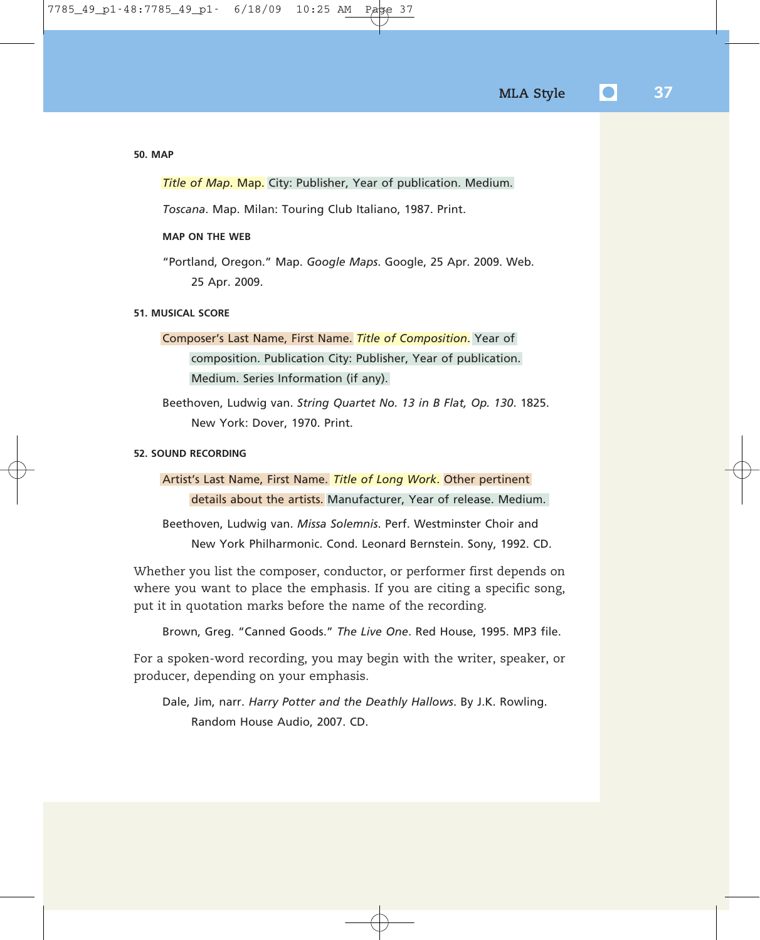```
50. MAP
```
*Title of Map*. Map. City: Publisher, Year of publication. Medium.

*Toscana*. Map. Milan: Touring Club Italiano, 1987. Print.

### **MAP ON THE WEB**

"Portland, Oregon." Map. *Google Maps*. Google, 25 Apr. 2009. Web. 25 Apr. 2009.

### **51. MUSICAL SCORE**

Composer's Last Name, First Name. *Title of Composition*. Year of composition. Publication City: Publisher, Year of publication. Medium. Series Information (if any).

Beethoven, Ludwig van. *String Quartet No. 13 in B Flat, Op. 130*. 1825. New York: Dover, 1970. Print.

### **52. SOUND RECORDING**

Artist's Last Name, First Name. *Title of Long Work*. Other pertinent details about the artists. Manufacturer, Year of release. Medium.

Beethoven, Ludwig van. *Missa Solemnis*. Perf. Westminster Choir and New York Philharmonic. Cond. Leonard Bernstein. Sony, 1992. CD.

Whether you list the composer, conductor, or performer first depends on where you want to place the emphasis. If you are citing a specific song, put it in quotation marks before the name of the recording.

Brown, Greg. "Canned Goods." *The Live One*. Red House, 1995. MP3 file.

For a spoken-word recording, you may begin with the writer, speaker, or producer, depending on your emphasis.

Dale, Jim, narr. *Harry Potter and the Deathly Hallows*. By J.K. Rowling. Random House Audio, 2007. CD.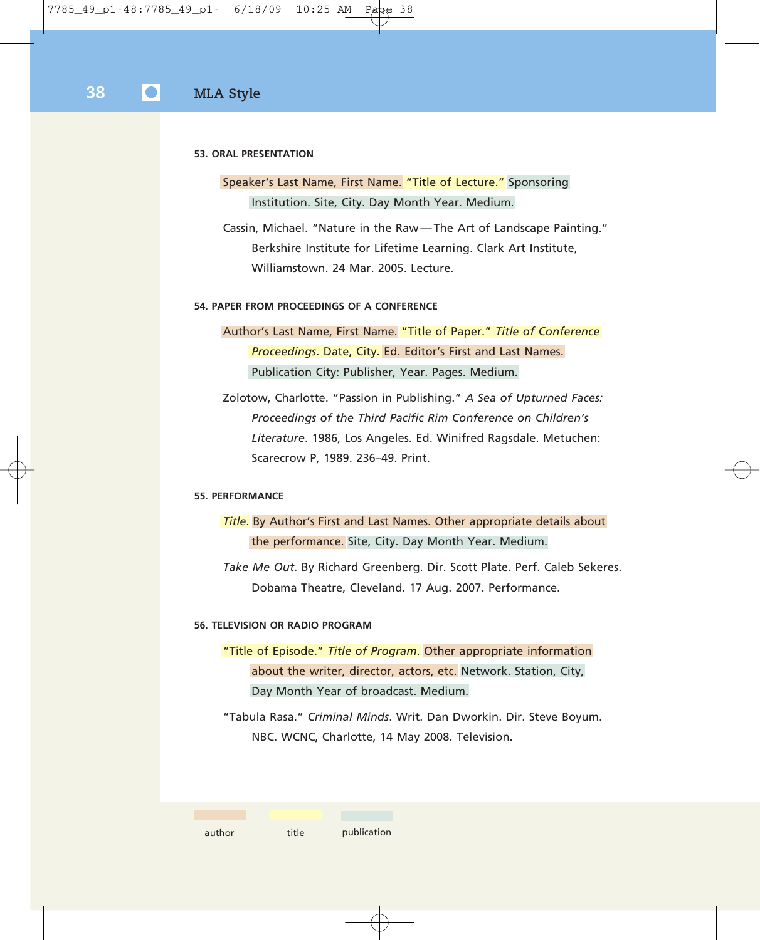#### **53. ORAL PRESENTATION**

### Speaker's Last Name, First Name. "Title of Lecture." Sponsoring Institution. Site, City. Day Month Year. Medium.

Cassin, Michael. "Nature in the Raw — The Art of Landscape Painting." Berkshire Institute for Lifetime Learning. Clark Art Institute, Williamstown. 24 Mar. 2005. Lecture.

### **54. PAPER FROM PROCEEDINGS OF A CONFERENCE**

Author's Last Name, First Name. "Title of Paper." *Title of Conference Proceedings*. Date, City. Ed. Editor's First and Last Names. Publication City: Publisher, Year. Pages. Medium.

Zolotow, Charlotte. "Passion in Publishing." *A Sea of Upturned Faces: Proceedings of the Third Pacific Rim Conference on Children's Literature*. 1986, Los Angeles. Ed. Winifred Ragsdale. Metuchen: Scarecrow P, 1989. 236–49. Print.

### **55. PERFORMANCE**

*Title*. By Author's First and Last Names. Other appropriate details about the performance. Site, City. Day Month Year. Medium.

*Take Me Out*. By Richard Greenberg. Dir. Scott Plate. Perf. Caleb Sekeres. Dobama Theatre, Cleveland. 17 Aug. 2007. Performance.

### **56. TELEVISION OR RADIO PROGRAM**

"Title of Episode." *Title of Program*. Other appropriate information about the writer, director, actors, etc. Network. Station, City, Day Month Year of broadcast. Medium.

"Tabula Rasa." *Criminal Minds*. Writ. Dan Dworkin. Dir. Steve Boyum. NBC. WCNC, Charlotte, 14 May 2008. Television.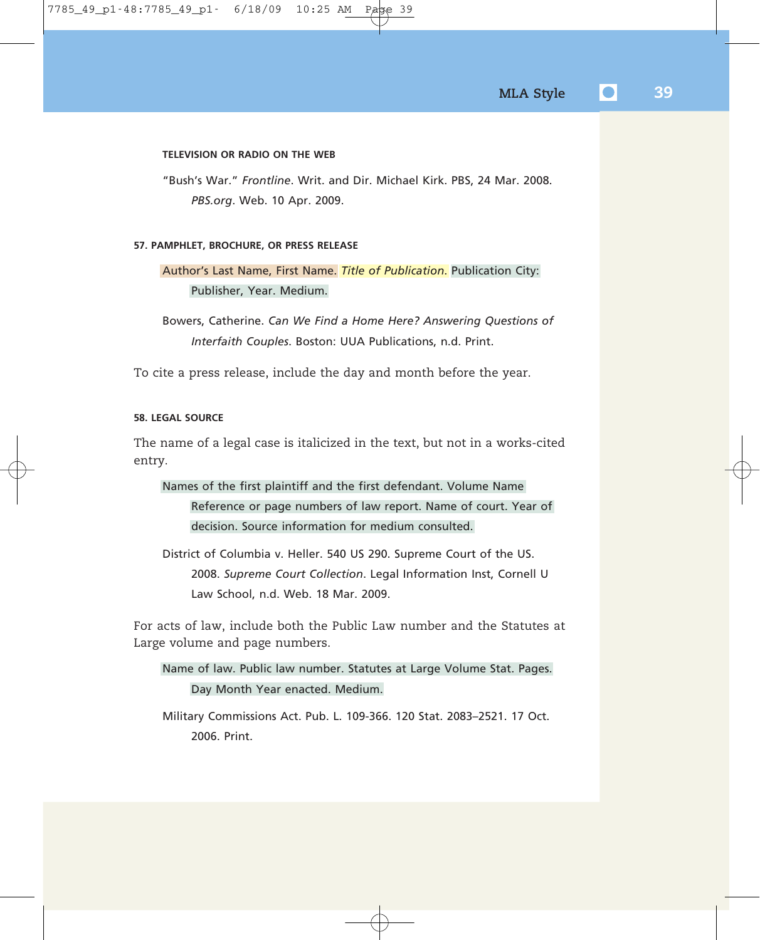#### **TELEVISION OR RADIO ON THE WEB**

"Bush's War." *Frontline*. Writ. and Dir. Michael Kirk. PBS, 24 Mar. 2008. *PBS.org*. Web. 10 Apr. 2009.

#### **57. PAMPHLET, BROCHURE, OR PRESS RELEASE**

Author's Last Name, First Name. *Title of Publication*. Publication City: Publisher, Year. Medium.

Bowers, Catherine. *Can We Find a Home Here? Answering Questions of Interfaith Couples*. Boston: UUA Publications, n.d. Print.

To cite a press release, include the day and month before the year.

### **58. LEGAL SOURCE**

The name of a legal case is italicized in the text, but not in a works-cited entry.

Names of the first plaintiff and the first defendant. Volume Name Reference or page numbers of law report. Name of court. Year of decision. Source information for medium consulted.

District of Columbia v. Heller. 540 US 290. Supreme Court of the US. 2008. *Supreme Court Collection*. Legal Information Inst, Cornell U Law School, n.d. Web. 18 Mar. 2009.

For acts of law, include both the Public Law number and the Statutes at Large volume and page numbers.

Name of law. Public law number. Statutes at Large Volume Stat. Pages. Day Month Year enacted. Medium.

Military Commissions Act. Pub. L. 109-366. 120 Stat. 2083–2521. 17 Oct. 2006. Print.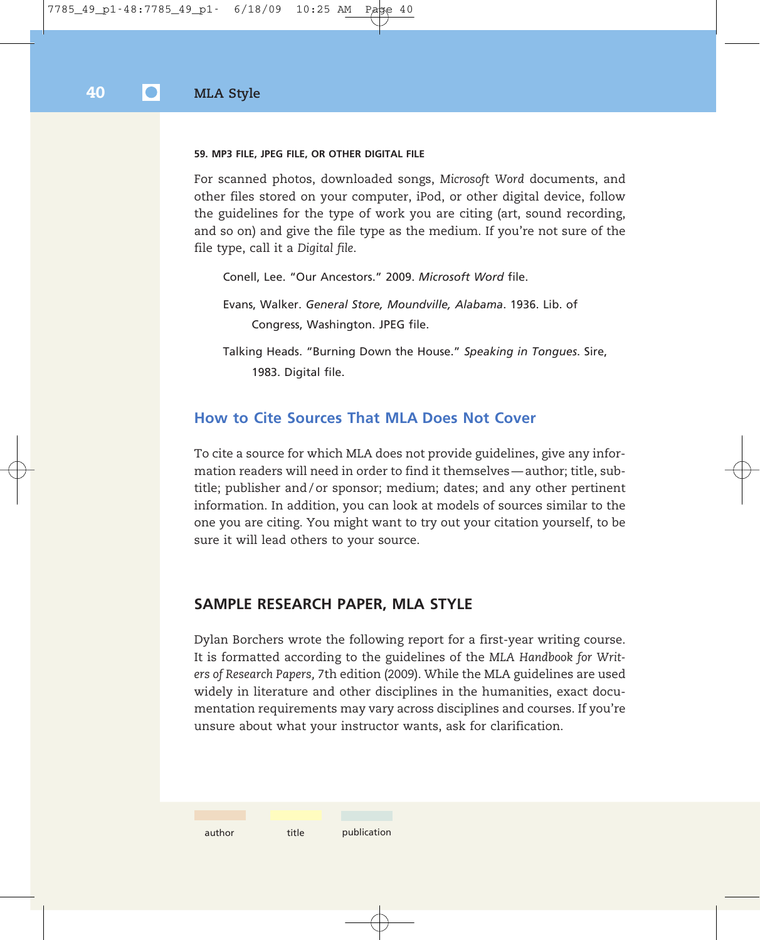#### **59. MP3 FILE, JPEG FILE, OR OTHER DIGITAL FILE**

For scanned photos, downloaded songs, *Microsoft Word* documents, and other files stored on your computer, iPod, or other digital device, follow the guidelines for the type of work you are citing (art, sound recording, and so on) and give the file type as the medium. If you're not sure of the file type, call it a *Digital file*.

Conell, Lee. "Our Ancestors." 2009. *Microsoft Word* file.

Evans, Walker. *General Store, Moundville, Alabama*. 1936. Lib. of Congress, Washington. JPEG file.

Talking Heads. "Burning Down the House." *Speaking in Tongues*. Sire, 1983. Digital file.

### **How to Cite Sources That MLA Does Not Cover**

To cite a source for which MLA does not provide guidelines, give any information readers will need in order to find it themselves — author; title, subtitle; publisher and / or sponsor; medium; dates; and any other pertinent information. In addition, you can look at models of sources similar to the one you are citing. You might want to try out your citation yourself, to be sure it will lead others to your source.

### **SAMPLE RESEARCH PAPER, MLA STYLE**

Dylan Borchers wrote the following report for a first-year writing course. It is formatted according to the guidelines of the *MLA Handbook for Writers of Research Papers,* 7th edition (2009). While the MLA guidelines are used widely in literature and other disciplines in the humanities, exact documentation requirements may vary across disciplines and courses. If you're unsure about what your instructor wants, ask for clarification.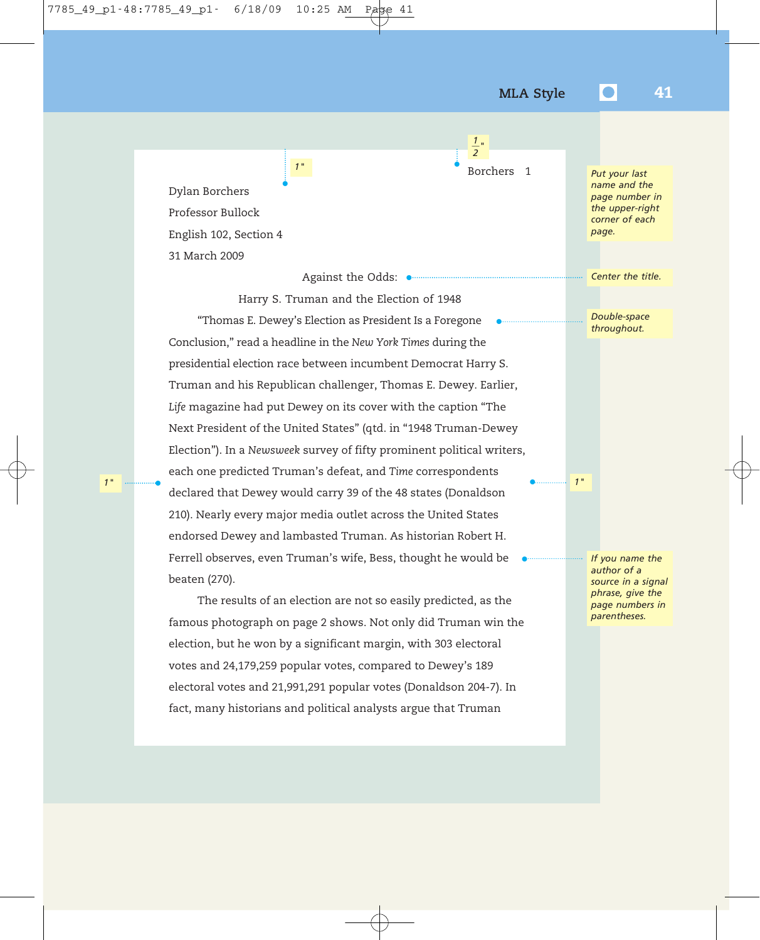Borchers 1

•

•

 *2*  $\frac{1}{2}$ "

•

Dylan Borchers Professor Bullock English 102, Section 4 31 March 2009

Against the Odds: •

*1"*

•

Harry S. Truman and the Election of 1948 "Thomas E. Dewey's Election as President Is a Foregone Conclusion," read a headline in the *New York Times* during the presidential election race between incumbent Democrat Harry S. Truman and his Republican challenger, Thomas E. Dewey. Earlier, *Life* magazine had put Dewey on its cover with the caption "The Next President of the United States" (qtd. in "1948 Truman-Dewey Election"). In a *Newsweek* survey of fifty prominent political writers, each one predicted Truman's defeat, and *Time* correspondents declared that Dewey would carry 39 of the 48 states (Donaldson 210). Nearly every major media outlet across the United States endorsed Dewey and lambasted Truman. As historian Robert H. Ferrell observes, even Truman's wife, Bess, thought he would be beaten (270). *1" 1"* •

> The results of an election are not so easily predicted, as the famous photograph on page 2 shows. Not only did Truman win the election, but he won by a significant margin, with 303 electoral votes and 24,179,259 popular votes, compared to Dewey's 189 electoral votes and 21,991,291 popular votes (Donaldson 204-7). In fact, many historians and political analysts argue that Truman

*Put your last name and the page number in the upper-right corner of each page.*

*Center the title.*

*Double-space throughout.*

*If you name the author of a source in a signal phrase, give the page numbers in parentheses.*

•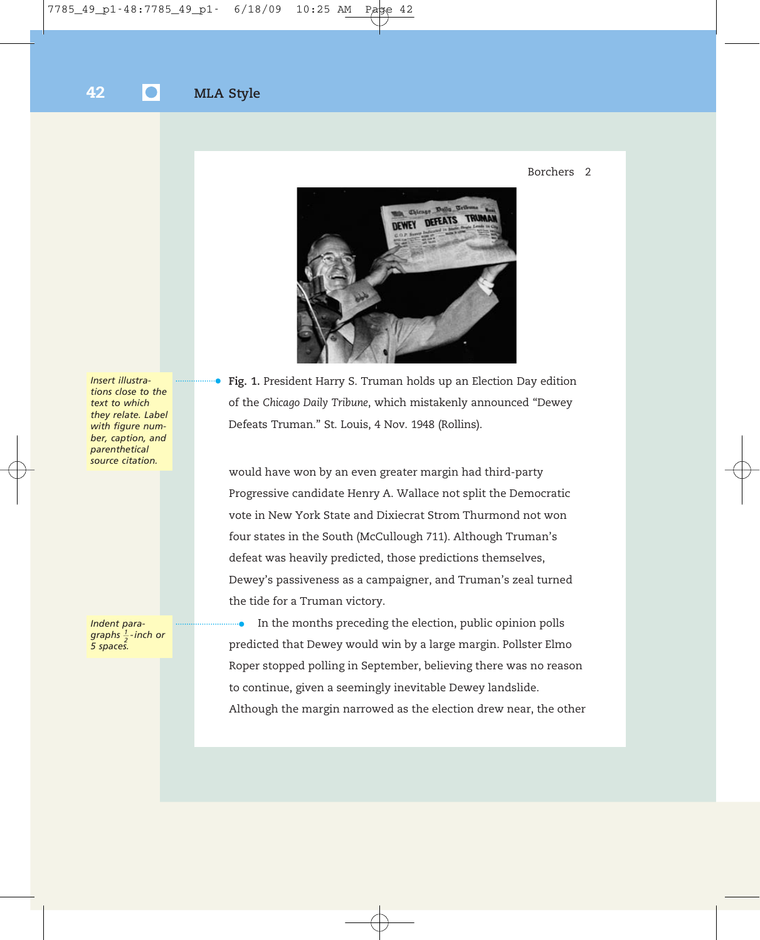### Borchers 2



*Insert illustrations close to the text to which they relate. Label with figure number, caption, and parenthetical source citation.*

*Indent paragraphs 1 -inch or 2 5 spaces.*

**Fig. 1.** President Harry S. Truman holds up an Election Day edition of the *Chicago Daily Tribune*, which mistakenly announced "Dewey Defeats Truman." St. Louis, 4 Nov. 1948 (Rollins). •

would have won by an even greater margin had third-party Progressive candidate Henry A. Wallace not split the Democratic vote in New York State and Dixiecrat Strom Thurmond not won four states in the South (McCullough 711). Although Truman's defeat was heavily predicted, those predictions themselves, Dewey's passiveness as a campaigner, and Truman's zeal turned the tide for a Truman victory.

In the months preceding the election, public opinion polls predicted that Dewey would win by a large margin. Pollster Elmo Roper stopped polling in September, believing there was no reason to continue, given a seemingly inevitable Dewey landslide. Although the margin narrowed as the election drew near, the other •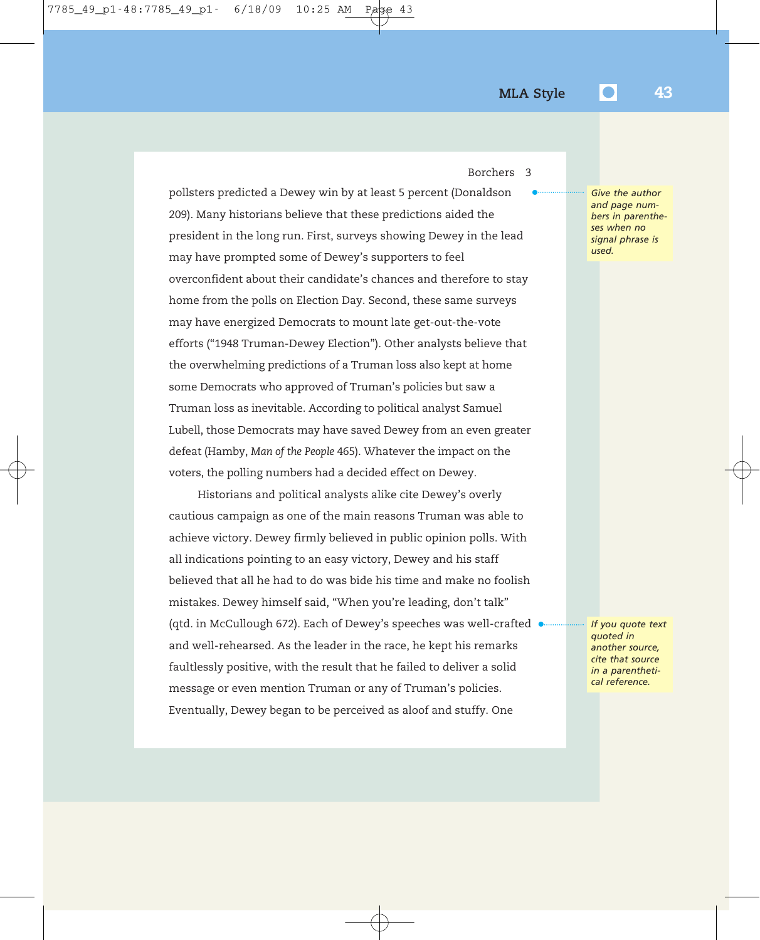•

Borchers 3

pollsters predicted a Dewey win by at least 5 percent (Donaldson 209). Many historians believe that these predictions aided the president in the long run. First, surveys showing Dewey in the lead may have prompted some of Dewey's supporters to feel overconfident about their candidate's chances and therefore to stay home from the polls on Election Day. Second, these same surveys may have energized Democrats to mount late get-out-the-vote efforts ("1948 Truman-Dewey Election"). Other analysts believe that the overwhelming predictions of a Truman loss also kept at home some Democrats who approved of Truman's policies but saw a Truman loss as inevitable. According to political analyst Samuel Lubell, those Democrats may have saved Dewey from an even greater defeat (Hamby, *Man of the People* 465). Whatever the impact on the voters, the polling numbers had a decided effect on Dewey.

Historians and political analysts alike cite Dewey's overly cautious campaign as one of the main reasons Truman was able to achieve victory. Dewey firmly believed in public opinion polls. With all indications pointing to an easy victory, Dewey and his staff believed that all he had to do was bide his time and make no foolish mistakes. Dewey himself said, "When you're leading, don't talk" (qtd. in McCullough 672). Each of Dewey's speeches was well-crafted • and well-rehearsed. As the leader in the race, he kept his remarks faultlessly positive, with the result that he failed to deliver a solid message or even mention Truman or any of Truman's policies. Eventually, Dewey began to be perceived as aloof and stuffy. One

*Give the author and page numbers in parentheses when no signal phrase is used.*

*If you quote text quoted in another source, cite that source in a parenthetical reference.*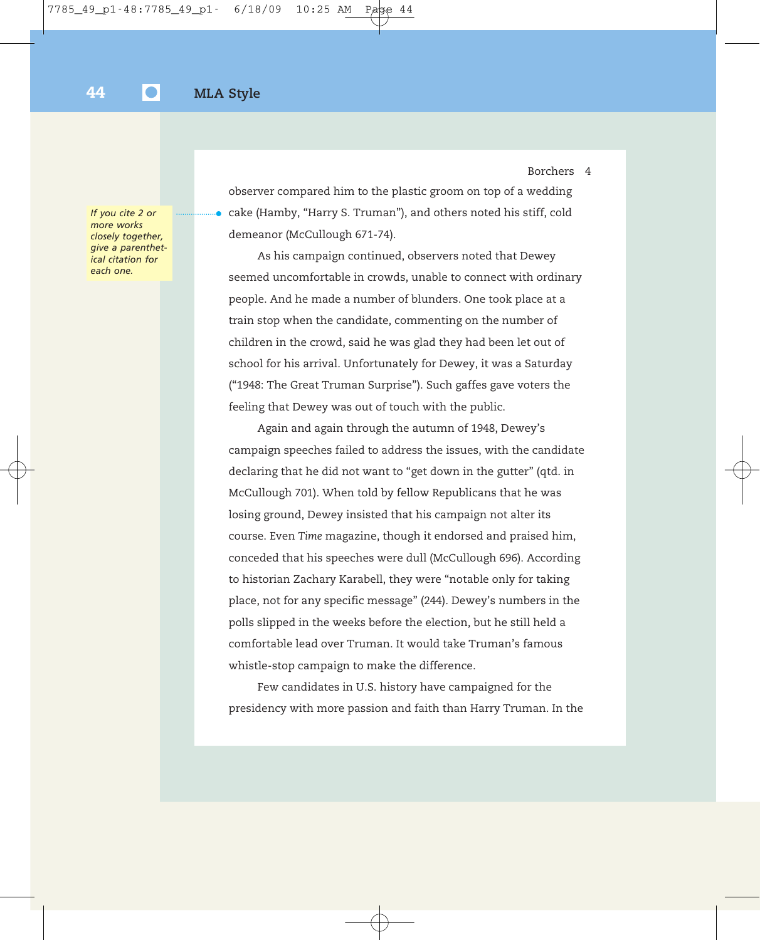•

*If you cite 2 or more works closely together, give a parenthetical citation for each one.*

observer compared him to the plastic groom on top of a wedding cake (Hamby, "Harry S. Truman"), and others noted his stiff, cold demeanor (McCullough 671-74).

Borchers 4

As his campaign continued, observers noted that Dewey seemed uncomfortable in crowds, unable to connect with ordinary people. And he made a number of blunders. One took place at a train stop when the candidate, commenting on the number of children in the crowd, said he was glad they had been let out of school for his arrival. Unfortunately for Dewey, it was a Saturday ("1948: The Great Truman Surprise"). Such gaffes gave voters the feeling that Dewey was out of touch with the public.

Again and again through the autumn of 1948, Dewey's campaign speeches failed to address the issues, with the candidate declaring that he did not want to "get down in the gutter" (qtd. in McCullough 701). When told by fellow Republicans that he was losing ground, Dewey insisted that his campaign not alter its course. Even *Time* magazine, though it endorsed and praised him, conceded that his speeches were dull (McCullough 696). According to historian Zachary Karabell, they were "notable only for taking place, not for any specific message" (244). Dewey's numbers in the polls slipped in the weeks before the election, but he still held a comfortable lead over Truman. It would take Truman's famous whistle-stop campaign to make the difference.

Few candidates in U.S. history have campaigned for the presidency with more passion and faith than Harry Truman. In the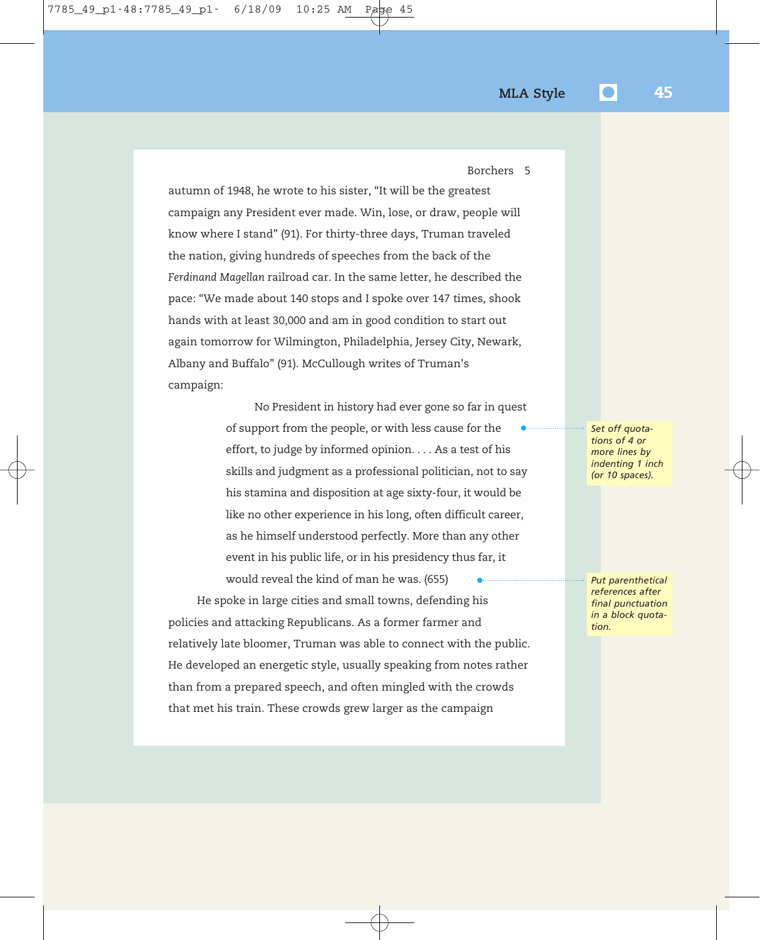autumn of 1948, he wrote to his sister, "It will be the greatest campaign any President ever made. Win, lose, or draw, people will know where I stand" (91). For thirty-three days, Truman traveled the nation, giving hundreds of speeches from the back of the *Ferdinand Magellan* railroad car. In the same letter, he described the pace: "We made about 140 stops and I spoke over 147 times, shook hands with at least 30,000 and am in good condition to start out again tomorrow for Wilmington, Philadelphia, Jersey City, Newark, Albany and Buffalo" (91). McCullough writes of Truman's campaign:

> No President in history had ever gone so far in quest of support from the people, or with less cause for the effort, to judge by informed opinion. . . . As a test of his skills and judgment as a professional politician, not to say his stamina and disposition at age sixty-four, it would be like no other experience in his long, often difficult career, as he himself understood perfectly. More than any other event in his public life, or in his presidency thus far, it •

would reveal the kind of man he was. (655) He spoke in large cities and small towns, defending his policies and attacking Republicans. As a former farmer and relatively late bloomer, Truman was able to connect with the public. He developed an energetic style, usually speaking from notes rather than from a prepared speech, and often mingled with the crowds that met his train. These crowds grew larger as the campaign •

*Set off quotations of 4 or more lines by indenting 1 inch (or 10 spaces).*

*Put parenthetical references after final punctuation in a block quotation.*

Borchers 5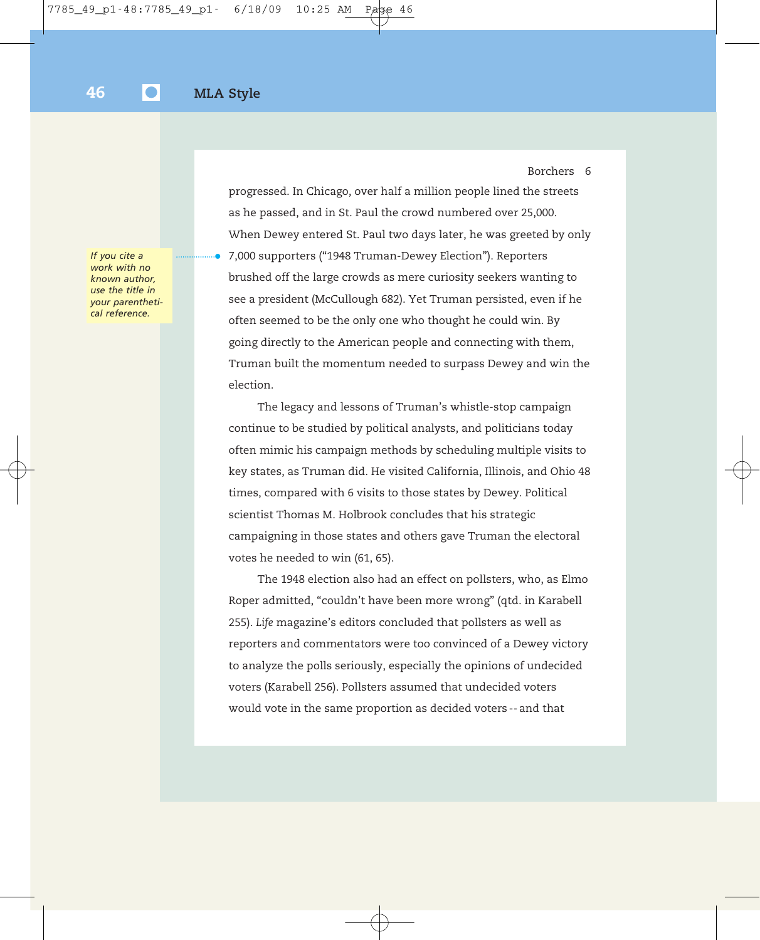*If you cite a work with no known author, use the title in your parenthetical reference.*

progressed. In Chicago, over half a million people lined the streets as he passed, and in St. Paul the crowd numbered over 25,000. When Dewey entered St. Paul two days later, he was greeted by only 7,000 supporters ("1948 Truman-Dewey Election"). Reporters brushed off the large crowds as mere curiosity seekers wanting to see a president (McCullough 682). Yet Truman persisted, even if he often seemed to be the only one who thought he could win. By going directly to the American people and connecting with them, Truman built the momentum needed to surpass Dewey and win the election. •

The legacy and lessons of Truman's whistle-stop campaign continue to be studied by political analysts, and politicians today often mimic his campaign methods by scheduling multiple visits to key states, as Truman did. He visited California, Illinois, and Ohio 48 times, compared with 6 visits to those states by Dewey. Political scientist Thomas M. Holbrook concludes that his strategic campaigning in those states and others gave Truman the electoral votes he needed to win (61, 65).

The 1948 election also had an effect on pollsters, who, as Elmo Roper admitted, "couldn't have been more wrong" (qtd. in Karabell 255). *Life* magazine's editors concluded that pollsters as well as reporters and commentators were too convinced of a Dewey victory to analyze the polls seriously, especially the opinions of undecided voters (Karabell 256). Pollsters assumed that undecided voters would vote in the same proportion as decided voters -- and that

Borchers 6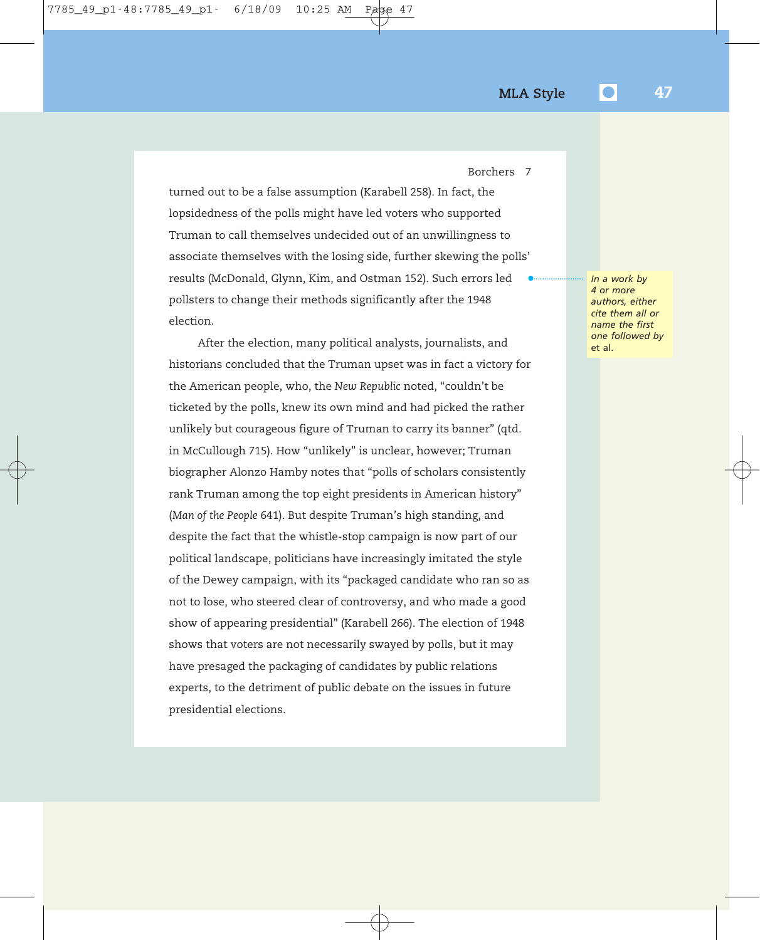Borchers 7

turned out to be a false assumption (Karabell 258). In fact, the lopsidedness of the polls might have led voters who supported Truman to call themselves undecided out of an unwillingness to associate themselves with the losing side, further skewing the polls' results (McDonald, Glynn, Kim, and Ostman 152). Such errors led pollsters to change their methods significantly after the 1948 election. •

After the election, many political analysts, journalists, and historians concluded that the Truman upset was in fact a victory for the American people, who, the *New Republic* noted, "couldn't be ticketed by the polls, knew its own mind and had picked the rather unlikely but courageous figure of Truman to carry its banner" (qtd. in McCullough 715). How "unlikely" is unclear, however; Truman biographer Alonzo Hamby notes that "polls of scholars consistently rank Truman among the top eight presidents in American history" (*Man of the People* 641). But despite Truman's high standing, and despite the fact that the whistle-stop campaign is now part of our political landscape, politicians have increasingly imitated the style of the Dewey campaign, with its "packaged candidate who ran so as not to lose, who steered clear of controversy, and who made a good show of appearing presidential" (Karabell 266). The election of 1948 shows that voters are not necessarily swayed by polls, but it may have presaged the packaging of candidates by public relations experts, to the detriment of public debate on the issues in future presidential elections.

*In a work by 4 or more authors, either cite them all or name the first one followed by* et al.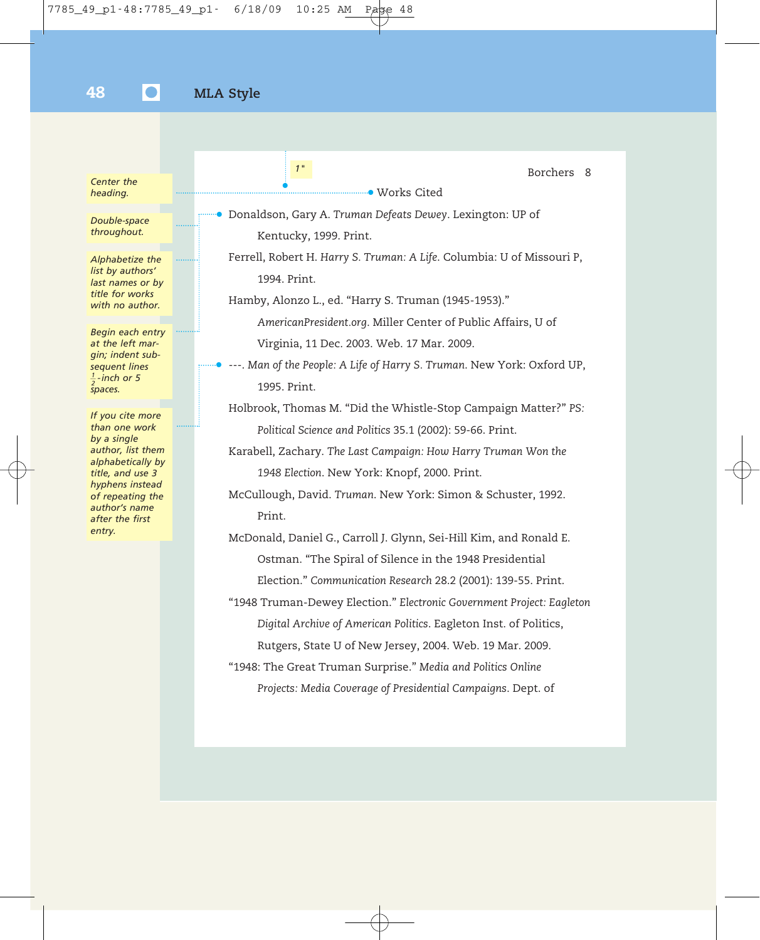| Center the<br>heading.                                                                                                                                                                              | 1 <sup>''</sup><br>Borchers<br>-8<br><b>Works Cited</b>                                                                                                                                                                                                                                                                                                                                                                                                            |
|-----------------------------------------------------------------------------------------------------------------------------------------------------------------------------------------------------|--------------------------------------------------------------------------------------------------------------------------------------------------------------------------------------------------------------------------------------------------------------------------------------------------------------------------------------------------------------------------------------------------------------------------------------------------------------------|
| Double-space<br>throughout.                                                                                                                                                                         | • Donaldson, Gary A. Truman Defeats Dewey. Lexington: UP of<br>Kentucky, 1999. Print.                                                                                                                                                                                                                                                                                                                                                                              |
| Alphabetize the<br>list by authors'<br>last names or by<br>title for works<br>with no author.                                                                                                       | Ferrell, Robert H. Harry S. Truman: A Life. Columbia: U of Missouri P,<br>1994. Print.<br>Hamby, Alonzo L., ed. "Harry S. Truman (1945-1953)."                                                                                                                                                                                                                                                                                                                     |
| Begin each entry<br>at the left mar-<br>gin; indent sub-<br>sequent lines<br>$\frac{1}{2}$ -inch or 5<br>spaces.                                                                                    | AmericanPresident.org. Miller Center of Public Affairs, U of<br>Virginia, 11 Dec. 2003. Web. 17 Mar. 2009.<br>---. Man of the People: A Life of Harry S. Truman. New York: Oxford UP,<br>1995. Print.                                                                                                                                                                                                                                                              |
| If you cite more<br>than one work<br>by a single<br>author, list them<br>alphabetically by<br>title, and use 3<br>hyphens instead<br>of repeating the<br>author's name<br>after the first<br>entry. | Holbrook, Thomas M. "Did the Whistle-Stop Campaign Matter?" PS:<br>Political Science and Politics 35.1 (2002): 59-66. Print.<br>Karabell, Zachary. The Last Campaign: How Harry Truman Won the<br>1948 Election. New York: Knopf, 2000. Print.<br>McCullough, David. Truman. New York: Simon & Schuster, 1992.<br>Print.<br>McDonald, Daniel G., Carroll J. Glynn, Sei-Hill Kim, and Ronald E.                                                                     |
|                                                                                                                                                                                                     | Ostman. "The Spiral of Silence in the 1948 Presidential<br>Election." Communication Research 28.2 (2001): 139-55. Print.<br>"1948 Truman-Dewey Election." Electronic Government Project: Eagleton<br>Digital Archive of American Politics. Eagleton Inst. of Politics,<br>Rutgers, State U of New Jersey, 2004. Web. 19 Mar. 2009.<br>"1948: The Great Truman Surprise." Media and Politics Online<br>Projects: Media Coverage of Presidential Campaigns. Dept. of |